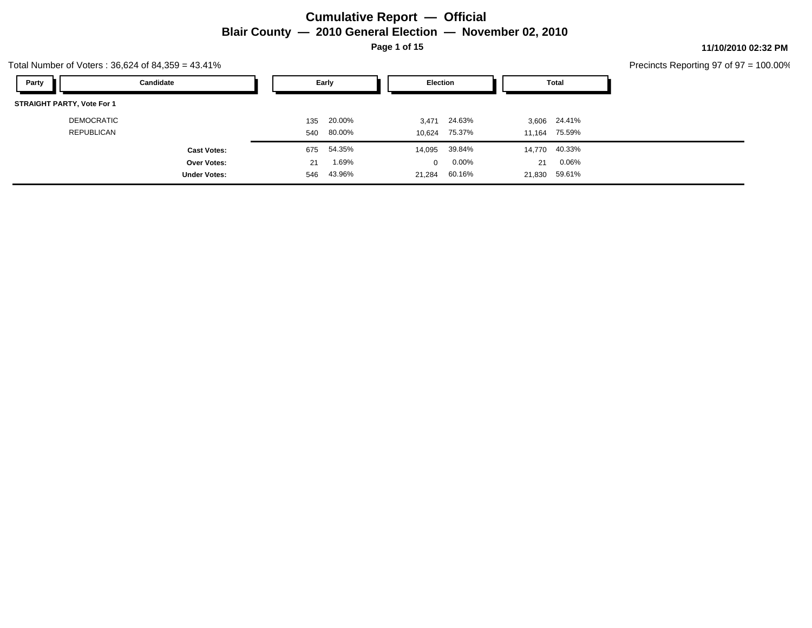### **Cumulative Report — Official Blair County — 2010 General Election — November 02, 2010 Page 1 of 15**

**11/10/2010 02:32 PM**

#### Precincts Reporting 97 of 97 = 100.00%

| Party<br>Candidate                |     | Early  | <b>Election</b> |          |        | Total         |
|-----------------------------------|-----|--------|-----------------|----------|--------|---------------|
| <b>STRAIGHT PARTY, Vote For 1</b> |     |        |                 |          |        |               |
| <b>DEMOCRATIC</b>                 | 135 | 20.00% | 3,471           | 24.63%   |        | 3,606 24.41%  |
| REPUBLICAN                        | 540 | 80.00% | 10.624          | 75.37%   |        | 11,164 75.59% |
| <b>Cast Votes:</b>                | 675 | 54.35% | 14,095          | 39.84%   |        | 14,770 40.33% |
| <b>Over Votes:</b>                | 21  | 1.69%  | $\Omega$        | $0.00\%$ | 21     | $0.06\%$      |
| <b>Under Votes:</b>               | 546 | 43.96% | 21,284          | 60.16%   | 21,830 | 59.61%        |

Total Number of Voters : 36,624 of 84,359 = 43.41%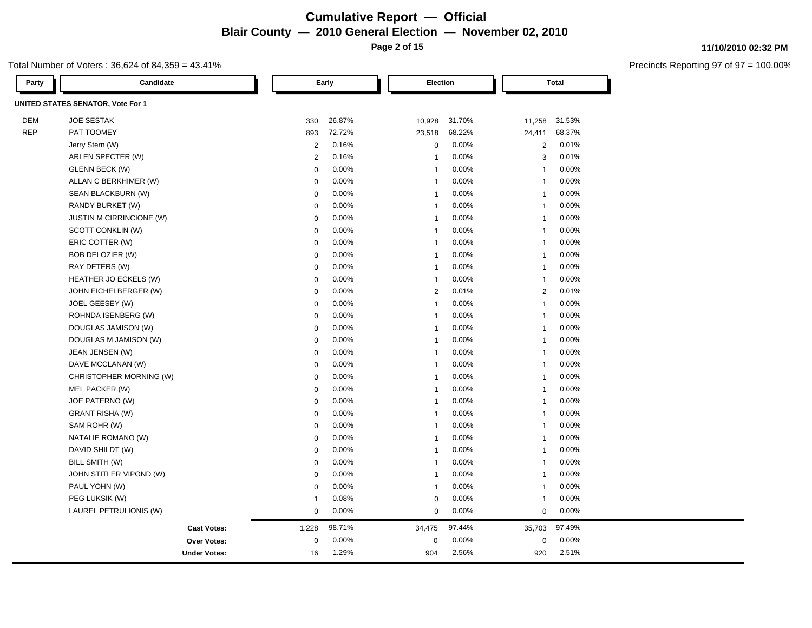### **Cumulative Report — Official Blair County — 2010 General Election — November 02, 2010 Page 2 of 15**

### Total Number of Voters : 36,624 of 84,359 = 43.41%

| Party      | Candidate                         |                | Early  |                | Election |                | <b>Total</b> |
|------------|-----------------------------------|----------------|--------|----------------|----------|----------------|--------------|
|            | UNITED STATES SENATOR, Vote For 1 |                |        |                |          |                |              |
| <b>DEM</b> | <b>JOE SESTAK</b>                 | 330            | 26.87% | 10,928         | 31.70%   | 11,258         | 31.53%       |
| <b>REP</b> | PAT TOOMEY                        | 893            | 72.72% | 23,518         | 68.22%   | 24,411         | 68.37%       |
|            | Jerry Stern (W)                   | $\overline{2}$ | 0.16%  | $\mathbf 0$    | 0.00%    | 2              | 0.01%        |
|            | ARLEN SPECTER (W)                 | $\overline{2}$ | 0.16%  | $\overline{1}$ | 0.00%    | 3              | 0.01%        |
|            | GLENN BECK (W)                    | $\mathbf 0$    | 0.00%  | $\overline{1}$ | 0.00%    | $\overline{1}$ | 0.00%        |
|            | ALLAN C BERKHIMER (W)             | $\mathbf 0$    | 0.00%  | $\overline{1}$ | 0.00%    | $\overline{1}$ | 0.00%        |
|            | SEAN BLACKBURN (W)                | $\mathbf 0$    | 0.00%  | $\overline{1}$ | $0.00\%$ | $\overline{1}$ | 0.00%        |
|            | RANDY BURKET (W)                  | $\mathbf 0$    | 0.00%  | $\overline{1}$ | 0.00%    | $\overline{1}$ | 0.00%        |
|            | JUSTIN M CIRRINCIONE (W)          | $\mathbf 0$    | 0.00%  | $\overline{1}$ | 0.00%    | $\overline{1}$ | 0.00%        |
|            | SCOTT CONKLIN (W)                 | $\Omega$       | 0.00%  | $\overline{1}$ | 0.00%    | $\overline{1}$ | 0.00%        |
|            | ERIC COTTER (W)                   | $\mathbf 0$    | 0.00%  | $\overline{1}$ | 0.00%    | $\overline{1}$ | 0.00%        |
|            | BOB DELOZIER (W)                  | $\mathbf 0$    | 0.00%  | $\overline{1}$ | 0.00%    | $\overline{1}$ | 0.00%        |
|            | RAY DETERS (W)                    | $\mathbf 0$    | 0.00%  | $\overline{1}$ | 0.00%    | $\overline{1}$ | 0.00%        |
|            | HEATHER JO ECKELS (W)             | $\mathbf 0$    | 0.00%  | $\overline{1}$ | 0.00%    | $\overline{1}$ | 0.00%        |
|            | JOHN EICHELBERGER (W)             | $\mathbf 0$    | 0.00%  | $\overline{2}$ | 0.01%    | $\overline{2}$ | 0.01%        |
|            | JOEL GEESEY (W)                   | $\mathbf 0$    | 0.00%  | $\overline{1}$ | 0.00%    | $\overline{1}$ | 0.00%        |
|            | ROHNDA ISENBERG (W)               | $\Omega$       | 0.00%  | $\overline{1}$ | 0.00%    | $\overline{1}$ | 0.00%        |
|            | DOUGLAS JAMISON (W)               | $\mathbf 0$    | 0.00%  | $\overline{1}$ | 0.00%    | $\overline{1}$ | 0.00%        |
|            | DOUGLAS M JAMISON (W)             | $\mathbf 0$    | 0.00%  | $\overline{1}$ | 0.00%    | $\overline{1}$ | 0.00%        |
|            | JEAN JENSEN (W)                   | $\mathbf 0$    | 0.00%  | $\overline{1}$ | 0.00%    | $\overline{1}$ | 0.00%        |
|            | DAVE MCCLANAN (W)                 | $\mathbf 0$    | 0.00%  | $\overline{1}$ | 0.00%    | $\overline{1}$ | 0.00%        |
|            | CHRISTOPHER MORNING (W)           | $\mathbf 0$    | 0.00%  | $\overline{1}$ | 0.00%    | $\overline{1}$ | 0.00%        |
|            | MEL PACKER (W)                    | $\mathbf 0$    | 0.00%  | $\overline{1}$ | 0.00%    | $\overline{1}$ | 0.00%        |
|            | JOE PATERNO (W)                   | $\mathbf 0$    | 0.00%  | $\overline{1}$ | 0.00%    | $\overline{1}$ | 0.00%        |
|            | <b>GRANT RISHA (W)</b>            | $\mathbf 0$    | 0.00%  | $\overline{1}$ | 0.00%    | $\overline{1}$ | 0.00%        |
|            | SAM ROHR (W)                      | $\mathbf 0$    | 0.00%  | $\overline{1}$ | 0.00%    | $\overline{1}$ | 0.00%        |
|            | NATALIE ROMANO (W)                | $\mathbf 0$    | 0.00%  | $\overline{1}$ | 0.00%    | $\overline{1}$ | 0.00%        |
|            | DAVID SHILDT (W)                  | $\mathbf 0$    | 0.00%  | $\overline{1}$ | $0.00\%$ | $\overline{1}$ | 0.00%        |
|            | BILL SMITH (W)                    | $\mathbf 0$    | 0.00%  | $\overline{1}$ | 0.00%    | $\overline{1}$ | 0.00%        |
|            | JOHN STITLER VIPOND (W)           | $\mathbf 0$    | 0.00%  | $\overline{1}$ | 0.00%    | $\overline{1}$ | 0.00%        |
|            | PAUL YOHN (W)                     | $\mathbf 0$    | 0.00%  | $\overline{1}$ | 0.00%    | $\overline{1}$ | 0.00%        |
|            | PEG LUKSIK (W)                    | $\mathbf{1}$   | 0.08%  | $\mathbf 0$    | 0.00%    | $\overline{1}$ | 0.00%        |
|            | LAUREL PETRULIONIS (W)            | $\pmb{0}$      | 0.00%  | $\mathbf 0$    | $0.00\%$ | $\mathbf 0$    | 0.00%        |
|            | <b>Cast Votes:</b>                | 1,228          | 98.71% | 34,475         | 97.44%   | 35,703         | 97.49%       |
|            | Over Votes:                       | $\mathbf 0$    | 0.00%  | $\mathbf 0$    | 0.00%    | $\mathbf 0$    | 0.00%        |
|            | <b>Under Votes:</b>               | 16             | 1.29%  | 904            | 2.56%    | 920            | 2.51%        |

#### **11/10/2010 02:32 PM**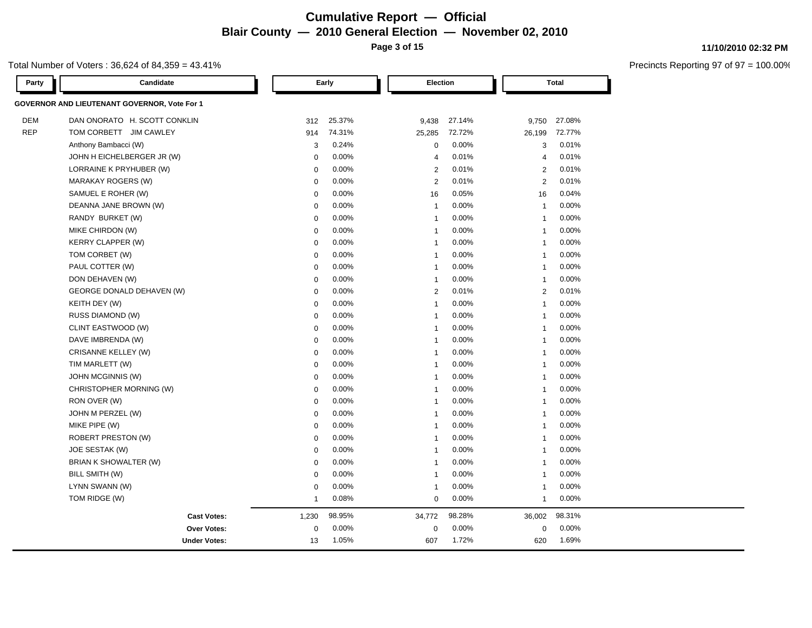### **Cumulative Report — Official Blair County — 2010 General Election — November 02, 2010 Page 3 of 15**

### Total Number of Voters : 36,624 of 84,359 = 43.41%

| Party      | Candidate                                    |              | Early  | Election                |          |                | <b>Total</b> |  |
|------------|----------------------------------------------|--------------|--------|-------------------------|----------|----------------|--------------|--|
|            | GOVERNOR AND LIEUTENANT GOVERNOR, Vote For 1 |              |        |                         |          |                |              |  |
| <b>DEM</b> | DAN ONORATO H. SCOTT CONKLIN                 | 312          | 25.37% | 9,438                   | 27.14%   | 9,750          | 27.08%       |  |
| <b>REP</b> | TOM CORBETT JIM CAWLEY                       | 914          | 74.31% | 25,285                  | 72.72%   | 26,199         | 72.77%       |  |
|            | Anthony Bambacci (W)                         | 3            | 0.24%  | $\mathbf 0$             | 0.00%    | 3              | 0.01%        |  |
|            | JOHN H EICHELBERGER JR (W)                   | $\mathbf 0$  | 0.00%  | $\overline{4}$          | 0.01%    | $\overline{4}$ | 0.01%        |  |
|            | LORRAINE K PRYHUBER (W)                      | $\mathbf 0$  | 0.00%  | $\overline{2}$          | 0.01%    | $\overline{2}$ | 0.01%        |  |
|            | <b>MARAKAY ROGERS (W)</b>                    | $\mathbf 0$  | 0.00%  | $\overline{2}$          | 0.01%    | 2              | 0.01%        |  |
|            | SAMUEL E ROHER (W)                           | $\mathbf 0$  | 0.00%  | 16                      | 0.05%    | 16             | 0.04%        |  |
|            | DEANNA JANE BROWN (W)                        | $\mathbf 0$  | 0.00%  | $\overline{1}$          | 0.00%    | $\overline{1}$ | 0.00%        |  |
|            | RANDY BURKET (W)                             | $\mathbf 0$  | 0.00%  | $\overline{1}$          | 0.00%    | $\overline{1}$ | 0.00%        |  |
|            | MIKE CHIRDON (W)                             | $\mathbf 0$  | 0.00%  | $\overline{1}$          | 0.00%    | $\overline{1}$ | 0.00%        |  |
|            | KERRY CLAPPER (W)                            | $\mathbf 0$  | 0.00%  | $\overline{1}$          | 0.00%    | $\overline{1}$ | 0.00%        |  |
|            | TOM CORBET (W)                               | $\mathbf 0$  | 0.00%  | $\overline{1}$          | $0.00\%$ | $\overline{1}$ | 0.00%        |  |
|            | PAUL COTTER (W)                              | $\mathbf 0$  | 0.00%  | $\overline{1}$          | 0.00%    | $\mathbf{1}$   | 0.00%        |  |
|            | DON DEHAVEN (W)                              | $\mathbf 0$  | 0.00%  | $\overline{1}$          | 0.00%    | $\overline{1}$ | 0.00%        |  |
|            | GEORGE DONALD DEHAVEN (W)                    | $\mathbf 0$  | 0.00%  | $\overline{2}$          | 0.01%    | $\mathbf{2}$   | 0.01%        |  |
|            | KEITH DEY (W)                                | $\mathbf 0$  | 0.00%  | $\overline{1}$          | $0.00\%$ | $\overline{1}$ | 0.00%        |  |
|            | RUSS DIAMOND (W)                             | $\mathbf 0$  | 0.00%  | $\overline{1}$          | 0.00%    | $\overline{1}$ | 0.00%        |  |
|            | CLINT EASTWOOD (W)                           | $\mathbf 0$  | 0.00%  | $\overline{1}$          | 0.00%    | $\overline{1}$ | 0.00%        |  |
|            | DAVE IMBRENDA (W)                            | $\mathbf 0$  | 0.00%  | $\overline{1}$          | 0.00%    | $\overline{1}$ | 0.00%        |  |
|            | CRISANNE KELLEY (W)                          | $\mathbf 0$  | 0.00%  | $\overline{\mathbf{1}}$ | 0.00%    | $\overline{1}$ | 0.00%        |  |
|            | TIM MARLETT (W)                              | $\mathbf 0$  | 0.00%  | $\overline{1}$          | 0.00%    | $\overline{1}$ | 0.00%        |  |
|            | JOHN MCGINNIS (W)                            | $\mathbf 0$  | 0.00%  | $\overline{1}$          | $0.00\%$ | $\overline{1}$ | 0.00%        |  |
|            | CHRISTOPHER MORNING (W)                      | $\mathbf 0$  | 0.00%  | $\overline{1}$          | 0.00%    | $\overline{1}$ | 0.00%        |  |
|            | RON OVER (W)                                 | $\mathbf 0$  | 0.00%  | $\overline{1}$          | 0.00%    | $\overline{1}$ | 0.00%        |  |
|            | JOHN M PERZEL (W)                            | $\mathbf 0$  | 0.00%  | $\overline{\mathbf{1}}$ | 0.00%    | $\overline{1}$ | 0.00%        |  |
|            | MIKE PIPE (W)                                | $\mathbf 0$  | 0.00%  | $\overline{1}$          | 0.00%    | $\overline{1}$ | 0.00%        |  |
|            | <b>ROBERT PRESTON (W)</b>                    | $\Omega$     | 0.00%  | $\overline{1}$          | 0.00%    | $\overline{1}$ | 0.00%        |  |
|            | JOE SESTAK (W)                               | $\mathbf 0$  | 0.00%  | $\overline{1}$          | 0.00%    | $\overline{1}$ | 0.00%        |  |
|            | BRIAN K SHOWALTER (W)                        | $\mathbf 0$  | 0.00%  | $\overline{1}$          | 0.00%    | $\overline{1}$ | 0.00%        |  |
|            | BILL SMITH (W)                               | $\mathbf 0$  | 0.00%  | $\overline{1}$          | 0.00%    | $\overline{1}$ | 0.00%        |  |
|            | LYNN SWANN (W)                               | $\mathbf 0$  | 0.00%  | $\overline{1}$          | 0.00%    | $\overline{1}$ | 0.00%        |  |
|            | TOM RIDGE (W)                                | $\mathbf{1}$ | 0.08%  | $\mathbf 0$             | 0.00%    | $\mathbf{1}$   | 0.00%        |  |
|            | <b>Cast Votes:</b>                           | 1,230        | 98.95% | 34,772                  | 98.28%   | 36,002         | 98.31%       |  |
|            | <b>Over Votes:</b>                           | $\mathbf 0$  | 0.00%  | $\mathbf 0$             | 0.00%    | $\mathbf 0$    | 0.00%        |  |
|            | <b>Under Votes:</b>                          | 13           | 1.05%  | 607                     | 1.72%    | 620            | 1.69%        |  |

#### **11/10/2010 02:32 PM**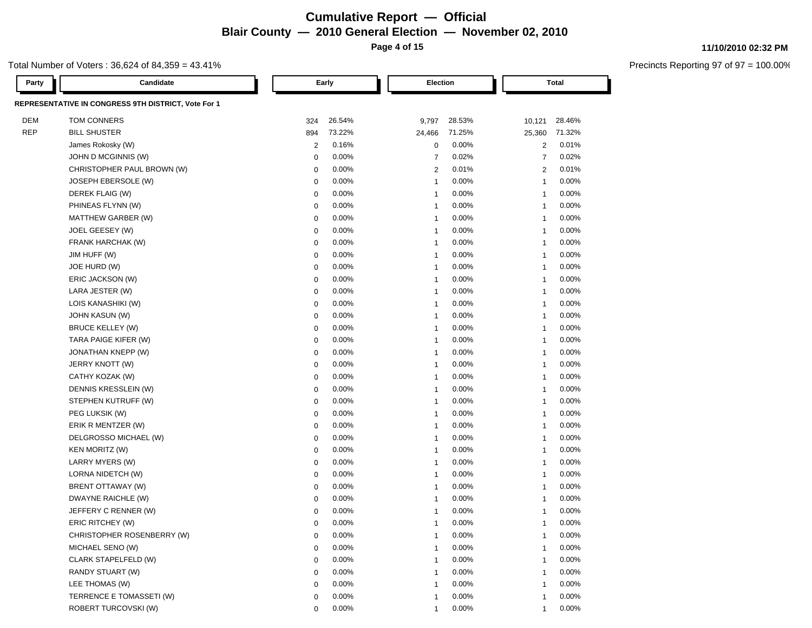### **Cumulative Report — Official Blair County — 2010 General Election — November 02, 2010 Page 4 of 15**

### Total Number of Voters : 36,624 of 84,359 = 43.41%

| Party      | Candidate                                           |                | Early    | Election       |          |                | <b>Total</b> |
|------------|-----------------------------------------------------|----------------|----------|----------------|----------|----------------|--------------|
|            | REPRESENTATIVE IN CONGRESS 9TH DISTRICT, Vote For 1 |                |          |                |          |                |              |
| DEM        | TOM CONNERS                                         | 324            | 26.54%   | 9,797          | 28.53%   | 10,121         | 28.46%       |
| <b>REP</b> | <b>BILL SHUSTER</b>                                 | 894            | 73.22%   | 24,466         | 71.25%   | 25,360         | 71.32%       |
|            | James Rokosky (W)                                   | $\overline{c}$ | 0.16%    | 0              | 0.00%    | $\overline{c}$ | 0.01%        |
|            | JOHN D MCGINNIS (W)                                 | $\mathbf 0$    | 0.00%    | $\overline{7}$ | 0.02%    | $\overline{7}$ | 0.02%        |
|            | CHRISTOPHER PAUL BROWN (W)                          | $\mathbf 0$    | 0.00%    | 2              | 0.01%    | 2              | 0.01%        |
|            | JOSEPH EBERSOLE (W)                                 | $\mathbf 0$    | 0.00%    | $\overline{1}$ | 0.00%    | $\mathbf{1}$   | 0.00%        |
|            | DEREK FLAIG (W)                                     | $\mathbf 0$    | 0.00%    | $\overline{1}$ | 0.00%    | $\overline{1}$ | 0.00%        |
|            | PHINEAS FLYNN (W)                                   | $\mathbf 0$    | 0.00%    | $\overline{1}$ | 0.00%    | -1             | 0.00%        |
|            | MATTHEW GARBER (W)                                  | $\mathbf 0$    | 0.00%    | $\overline{1}$ | 0.00%    | -1             | 0.00%        |
|            | JOEL GEESEY (W)                                     | $\mathbf 0$    | 0.00%    | $\overline{1}$ | 0.00%    | $\overline{1}$ | 0.00%        |
|            | FRANK HARCHAK (W)                                   | $\mathbf 0$    | 0.00%    | $\overline{1}$ | 0.00%    | $\overline{1}$ | 0.00%        |
|            | JIM HUFF (W)                                        | $\mathbf 0$    | 0.00%    | $\overline{1}$ | 0.00%    | $\overline{1}$ | 0.00%        |
|            | JOE HURD (W)                                        | $\mathbf 0$    | 0.00%    | $\overline{1}$ | 0.00%    | $\overline{1}$ | 0.00%        |
|            | ERIC JACKSON (W)                                    | $\mathbf 0$    | 0.00%    | $\overline{1}$ | 0.00%    | $\overline{1}$ | 0.00%        |
|            | LARA JESTER (W)                                     | $\mathbf 0$    | 0.00%    | $\overline{1}$ | 0.00%    | $\overline{1}$ | 0.00%        |
|            | LOIS KANASHIKI (W)                                  | $\mathbf 0$    | 0.00%    | $\overline{1}$ | 0.00%    | -1             | 0.00%        |
|            | JOHN KASUN (W)                                      | $\mathbf 0$    | 0.00%    | $\overline{1}$ | 0.00%    | -1             | 0.00%        |
|            | BRUCE KELLEY (W)                                    | $\mathbf 0$    | 0.00%    | $\overline{1}$ | 0.00%    | $\overline{1}$ | 0.00%        |
|            | TARA PAIGE KIFER (W)                                | $\mathbf 0$    | 0.00%    | $\overline{1}$ | 0.00%    | $\overline{1}$ | 0.00%        |
|            | JONATHAN KNEPP (W)                                  | $\mathbf 0$    | 0.00%    | $\overline{1}$ | 0.00%    | $\overline{1}$ | 0.00%        |
|            | JERRY KNOTT (W)                                     | $\mathbf 0$    | 0.00%    | $\overline{1}$ | 0.00%    | -1             | 0.00%        |
|            | CATHY KOZAK (W)                                     | $\mathbf 0$    | 0.00%    | $\overline{1}$ | 0.00%    | $\overline{1}$ | 0.00%        |
|            | DENNIS KRESSLEIN (W)                                | $\mathbf 0$    | 0.00%    | -1             | 0.00%    | -1             | 0.00%        |
|            | STEPHEN KUTRUFF (W)                                 | $\mathbf 0$    | 0.00%    | -1             | 0.00%    | -1             | 0.00%        |
|            | PEG LUKSIK (W)                                      | $\mathbf 0$    | 0.00%    | -1             | 0.00%    | $\overline{1}$ | 0.00%        |
|            | ERIK R MENTZER (W)                                  | $\mathbf 0$    | 0.00%    | -1             | 0.00%    | $\overline{1}$ | 0.00%        |
|            | DELGROSSO MICHAEL (W)                               | $\mathbf 0$    | 0.00%    | $\overline{1}$ | 0.00%    | $\overline{1}$ | 0.00%        |
|            | <b>KEN MORITZ (W)</b>                               | $\mathbf 0$    | 0.00%    | $\overline{1}$ | 0.00%    | $\mathbf{1}$   | 0.00%        |
|            | LARRY MYERS (W)                                     | $\mathbf 0$    | 0.00%    | $\overline{1}$ | 0.00%    | $\overline{1}$ | 0.00%        |
|            | LORNA NIDETCH (W)                                   | $\mathbf 0$    | 0.00%    | $\overline{1}$ | 0.00%    | $\overline{1}$ | 0.00%        |
|            | BRENT OTTAWAY (W)                                   | $\mathbf 0$    | 0.00%    | $\overline{1}$ | 0.00%    | -1             | 0.00%        |
|            | DWAYNE RAICHLE (W)                                  | $\mathbf 0$    | 0.00%    | $\overline{1}$ | 0.00%    | 1              | 0.00%        |
|            | JEFFERY C RENNER (W)                                | $\mathbf 0$    | 0.00%    | $\overline{1}$ | 0.00%    | 1              | 0.00%        |
|            | ERIC RITCHEY (W)                                    | $\Omega$       | 0.00%    | $\overline{1}$ | 0.00%    | -1             | 0.00%        |
|            | CHRISTOPHER ROSENBERRY (W)                          | 0              | $0.00\%$ | 1              | $0.00\%$ | 1              | $0.00\%$     |
|            | MICHAEL SENO (W)                                    | $\mathbf 0$    | 0.00%    | $\overline{1}$ | 0.00%    | $\mathbf{1}$   | 0.00%        |
|            | CLARK STAPELFELD (W)                                | $\mathbf 0$    | 0.00%    | -1             | 0.00%    | $\overline{1}$ | 0.00%        |
|            | RANDY STUART (W)                                    | $\mathbf 0$    | 0.00%    | -1             | 0.00%    | $\overline{1}$ | 0.00%        |
|            | LEE THOMAS (W)                                      | $\mathbf 0$    | 0.00%    | -1             | 0.00%    | 1              | 0.00%        |
|            | TERRENCE E TOMASSETI (W)                            | $\mathbf 0$    | 0.00%    | -1             | 0.00%    | $\overline{1}$ | 0.00%        |
|            | ROBERT TURCOVSKI (W)                                | $\mathbf 0$    | 0.00%    | $\overline{1}$ | 0.00%    | $\overline{1}$ | 0.00%        |

#### **11/10/2010 02:32 PM**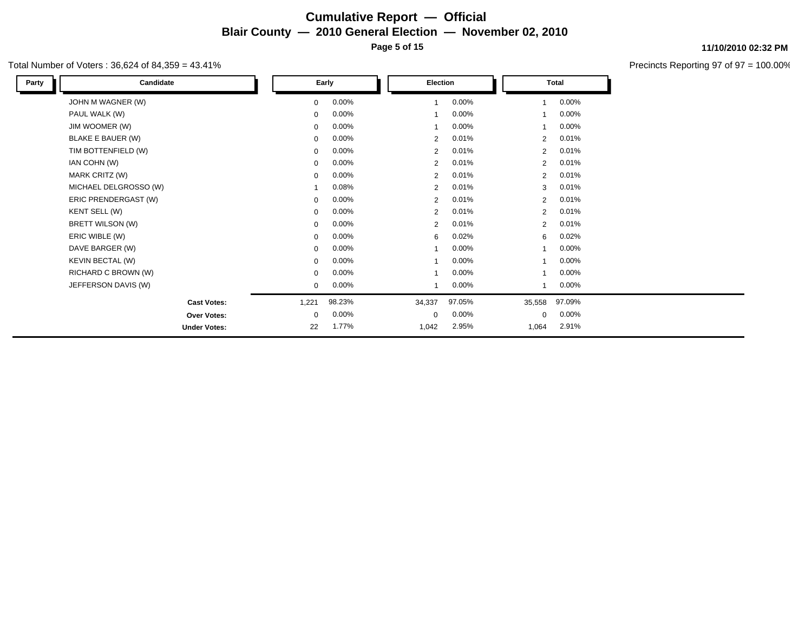### **Cumulative Report — Official Blair County — 2010 General Election — November 02, 2010 Page 5 of 15**

### Total Number of Voters : 36,624 of 84,359 = 43.41%

| Party | Candidate             |             | Early    |                | Election |                | Total    |
|-------|-----------------------|-------------|----------|----------------|----------|----------------|----------|
|       | JOHN M WAGNER (W)     | 0           | $0.00\%$ |                | 0.00%    | 1              | $0.00\%$ |
|       | PAUL WALK (W)         | 0           | 0.00%    |                | 0.00%    |                | 0.00%    |
|       | JIM WOOMER (W)        | $\mathbf 0$ | $0.00\%$ |                | 0.00%    |                | $0.00\%$ |
|       | BLAKE E BAUER (W)     | $\mathbf 0$ | 0.00%    | 2              | 0.01%    | $\overline{2}$ | 0.01%    |
|       | TIM BOTTENFIELD (W)   | 0           | 0.00%    | 2              | 0.01%    | $\overline{2}$ | 0.01%    |
|       | IAN COHN (W)          | 0           | 0.00%    | $\overline{2}$ | 0.01%    | $\overline{2}$ | 0.01%    |
|       | MARK CRITZ (W)        | $\mathbf 0$ | $0.00\%$ | $\overline{2}$ | 0.01%    | $\overline{2}$ | 0.01%    |
|       | MICHAEL DELGROSSO (W) |             | 0.08%    | 2              | 0.01%    | 3              | 0.01%    |
|       | ERIC PRENDERGAST (W)  | 0           | 0.00%    | $\overline{2}$ | 0.01%    | $\overline{2}$ | 0.01%    |
|       | KENT SELL (W)         | $\mathbf 0$ | $0.00\%$ | $\overline{2}$ | 0.01%    | $\overline{2}$ | 0.01%    |
|       | BRETT WILSON (W)      | $\mathbf 0$ | 0.00%    | $\overline{2}$ | 0.01%    | $\overline{2}$ | 0.01%    |
|       | ERIC WIBLE (W)        | $\mathbf 0$ | $0.00\%$ | 6              | 0.02%    | 6              | 0.02%    |
|       | DAVE BARGER (W)       | 0           | 0.00%    |                | 0.00%    |                | $0.00\%$ |
|       | KEVIN BECTAL (W)      | $\mathbf 0$ | 0.00%    |                | 0.00%    | 1              | $0.00\%$ |
|       | RICHARD C BROWN (W)   | $\mathbf 0$ | 0.00%    |                | 0.00%    |                | $0.00\%$ |
|       | JEFFERSON DAVIS (W)   | $\mathbf 0$ | $0.00\%$ |                | 0.00%    |                | $0.00\%$ |
|       | <b>Cast Votes:</b>    | 1,221       | 98.23%   | 34,337         | 97.05%   | 35,558         | 97.09%   |
|       | Over Votes:           | $\mathbf 0$ | $0.00\%$ | $\mathbf 0$    | 0.00%    | $\Omega$       | $0.00\%$ |
|       | <b>Under Votes:</b>   | 22          | 1.77%    | 1,042          | 2.95%    | 1,064          | 2.91%    |

**11/10/2010 02:32 PM**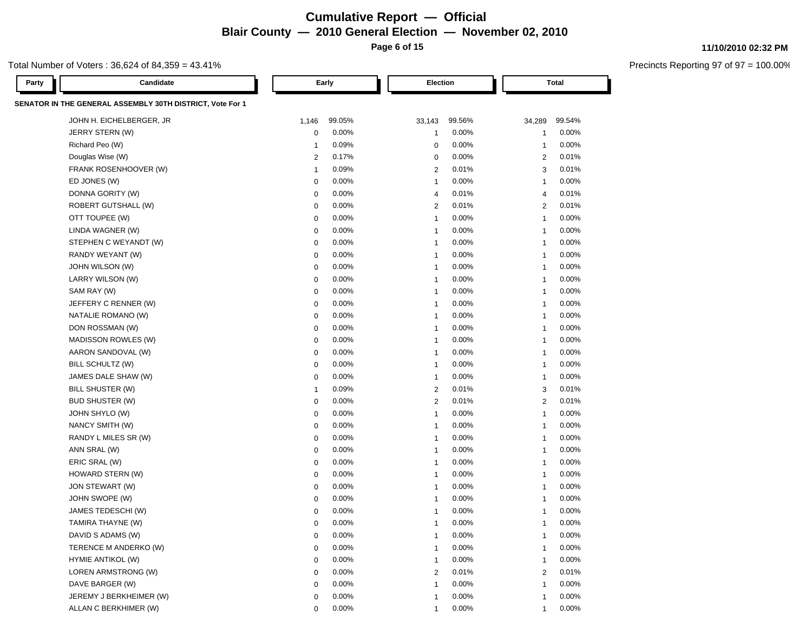### **Cumulative Report — Official Blair County — 2010 General Election — November 02, 2010 Page 6 of 15**

Total Number of Voters : 36,624 of 84,359 = 43.41%

| Party | Candidate                                                 |                | Early  | Election                   | <b>Total</b>   |        |
|-------|-----------------------------------------------------------|----------------|--------|----------------------------|----------------|--------|
|       | SENATOR IN THE GENERAL ASSEMBLY 30TH DISTRICT, Vote For 1 |                |        |                            |                |        |
|       | JOHN H. EICHELBERGER, JR                                  | 1,146          | 99.05% | 33,143<br>99.56%           | 34,289         | 99.54% |
|       | JERRY STERN (W)                                           | $\mathbf 0$    | 0.00%  | 0.00%<br>-1                | -1             | 0.00%  |
|       | Richard Peo (W)                                           | $\mathbf{1}$   | 0.09%  | 0.00%<br>$\mathbf 0$       | $\mathbf{1}$   | 0.00%  |
|       | Douglas Wise (W)                                          | $\overline{2}$ | 0.17%  | 0.00%<br>0                 | 2              | 0.01%  |
|       | FRANK ROSENHOOVER (W)                                     | $\mathbf{1}$   | 0.09%  | 0.01%<br>$\overline{2}$    | 3              | 0.01%  |
|       | ED JONES (W)                                              | $\mathbf 0$    | 0.00%  | 0.00%<br>$\overline{1}$    | -1             | 0.00%  |
|       | DONNA GORITY (W)                                          | $\mathbf 0$    | 0.00%  | 0.01%<br>$\overline{4}$    | $\overline{4}$ | 0.01%  |
|       | <b>ROBERT GUTSHALL (W)</b>                                | $\mathbf 0$    | 0.00%  | $\overline{2}$<br>0.01%    | $\overline{c}$ | 0.01%  |
|       | OTT TOUPEE (W)                                            | $\mathbf 0$    | 0.00%  | 0.00%<br>$\overline{1}$    | $\mathbf{1}$   | 0.00%  |
|       | LINDA WAGNER (W)                                          | $\mathbf 0$    | 0.00%  | 0.00%<br>-1                | 1              | 0.00%  |
|       | STEPHEN C WEYANDT (W)                                     | $\mathbf 0$    | 0.00%  | 0.00%<br>$\overline{1}$    | 1              | 0.00%  |
|       | RANDY WEYANT (W)                                          | $\mathbf 0$    | 0.00%  | 0.00%<br>$\overline{1}$    | 1              | 0.00%  |
|       | JOHN WILSON (W)                                           | $\mathbf 0$    | 0.00%  | 0.00%<br>$\overline{1}$    | 1              | 0.00%  |
|       | LARRY WILSON (W)                                          | $\mathbf 0$    | 0.00%  | 0.00%<br>$\overline{1}$    | 1              | 0.00%  |
|       | SAM RAY (W)                                               | $\mathbf 0$    | 0.00%  | $0.00\%$<br>$\overline{1}$ | $\overline{1}$ | 0.00%  |
|       | JEFFERY C RENNER (W)                                      | 0              | 0.00%  | 0.00%<br>-1                | $\mathbf{1}$   | 0.00%  |
|       | NATALIE ROMANO (W)                                        | 0              | 0.00%  | $0.00\%$<br>-1             | $\mathbf{1}$   | 0.00%  |
|       | DON ROSSMAN (W)                                           | 0              | 0.00%  | 0.00%<br>$\overline{1}$    | -1             | 0.00%  |
|       | MADISSON ROWLES (W)                                       | 0              | 0.00%  | 0.00%<br>$\overline{1}$    | $\mathbf{1}$   | 0.00%  |
|       | AARON SANDOVAL (W)                                        | 0              | 0.00%  | 0.00%<br>-1                | $\mathbf{1}$   | 0.00%  |
|       | BILL SCHULTZ (W)                                          | 0              | 0.00%  | 0.00%<br>-1                | $\mathbf{1}$   | 0.00%  |
|       | JAMES DALE SHAW (W)                                       | 0              | 0.00%  | 0.00%<br>$\overline{1}$    | $\mathbf{1}$   | 0.00%  |
|       | BILL SHUSTER (W)                                          | $\mathbf{1}$   | 0.09%  | 0.01%<br>$\overline{2}$    | 3              | 0.01%  |
|       | <b>BUD SHUSTER (W)</b>                                    | 0              | 0.00%  | 0.01%<br>$\overline{2}$    | $\overline{2}$ | 0.01%  |
|       | JOHN SHYLO (W)                                            | 0              | 0.00%  | 0.00%<br>$\overline{1}$    | $\mathbf{1}$   | 0.00%  |
|       | NANCY SMITH (W)                                           | 0              | 0.00%  | 0.00%<br>-1                | $\mathbf{1}$   | 0.00%  |
|       | RANDY L MILES SR (W)                                      | 0              | 0.00%  | 0.00%<br>-1                | $\mathbf{1}$   | 0.00%  |
|       | ANN SRAL (W)                                              | 0              | 0.00%  | 0.00%<br>-1                | $\mathbf{1}$   | 0.00%  |
|       | ERIC SRAL (W)                                             | $\mathbf 0$    | 0.00%  | 0.00%<br>-1                | $\mathbf{1}$   | 0.00%  |
|       | HOWARD STERN (W)                                          | 0              | 0.00%  | 0.00%<br>-1                | -1             | 0.00%  |
|       | JON STEWART (W)                                           | 0              | 0.00%  | $0.00\%$<br>-1             | -1             | 0.00%  |
|       | JOHN SWOPE (W)                                            | 0              | 0.00%  | 0.00%<br>-1                | -1             | 0.00%  |
|       | JAMES TEDESCHI (W)                                        | $\mathbf 0$    | 0.00%  | 0.00%<br>-1                | -1             | 0.00%  |
|       | TAMIRA THAYNE (W)                                         | $\mathbf 0$    | 0.00%  | 0.00%<br>-1                | -1             | 0.00%  |
|       | DAVID S ADAMS (W)                                         |                | 0.00%  | 0.00%                      |                | 0.00%  |
|       | TERENCE M ANDERKO (W)                                     | 0              | 0.00%  | 0.00%<br>-1                | -1             | 0.00%  |
|       | HYMIE ANTIKOL (W)                                         | $\mathbf 0$    | 0.00%  | 0.00%<br>-1                | -1             | 0.00%  |
|       | LOREN ARMSTRONG (W)                                       | $\mathbf 0$    | 0.00%  | 0.01%<br>$\overline{2}$    | 2              | 0.01%  |
|       | DAVE BARGER (W)                                           | $\mathbf 0$    | 0.00%  | 0.00%<br>-1                | -1             | 0.00%  |
|       | JEREMY J BERKHEIMER (W)                                   | $\mathbf 0$    | 0.00%  | 0.00%<br>-1                | 1              | 0.00%  |
|       | ALLAN C BERKHIMER (W)                                     | $\Omega$       | 0.00%  | 0.00%<br>1                 | 1              | 0.00%  |

#### **11/10/2010 02:32 PM**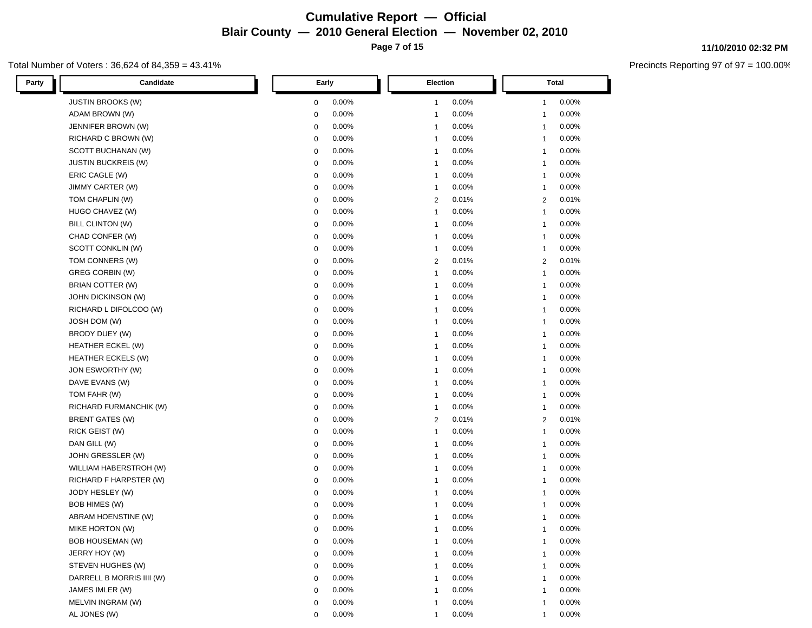### **Cumulative Report — Official Blair County — 2010 General Election — November 02, 2010 Page 7 of 15**

Total Number of Voters : 36,624 of 84,359 = 43.41%

| Candidate<br>Party         | Early                   | Election                | <b>Total</b>   |  |  |
|----------------------------|-------------------------|-------------------------|----------------|--|--|
| JUSTIN BROOKS (W)          | 0.00%                   | 0.00%                   | 0.00%          |  |  |
|                            | $\mathbf 0$             | $\mathbf{1}$            | 1              |  |  |
| ADAM BROWN (W)             | 0.00%                   | 0.00%                   | 0.00%          |  |  |
|                            | $\mathbf 0$             | -1                      | -1             |  |  |
| JENNIFER BROWN (W)         | 0.00%                   | 0.00%                   | 0.00%          |  |  |
|                            | $\mathbf 0$             | $\mathbf 1$             | -1             |  |  |
| RICHARD C BROWN (W)        | 0.00%                   | 0.00%                   | 0.00%          |  |  |
|                            | $\mathbf 0$             | $\mathbf{1}$            | -1             |  |  |
| SCOTT BUCHANAN (W)         | 0.00%                   | 0.00%                   | 0.00%          |  |  |
|                            | $\mathbf 0$             | $\mathbf{1}$            | -1             |  |  |
| <b>JUSTIN BUCKREIS (W)</b> | 0.00%                   | 0.00%                   | 0.00%          |  |  |
|                            | $\mathbf 0$             | $\mathbf{1}$            | -1             |  |  |
| ERIC CAGLE (W)             | 0.00%                   | 0.00%                   | 0.00%          |  |  |
|                            | $\mathbf 0$             | $\mathbf{1}$            | $\mathbf{1}$   |  |  |
| <b>JIMMY CARTER (W)</b>    | 0.00%                   | 0.00%                   | 0.00%          |  |  |
|                            | $\mathbf 0$             | $\mathbf{1}$            | -1             |  |  |
| TOM CHAPLIN (W)            | 0.00%                   | 0.01%                   | 0.01%          |  |  |
|                            | $\mathbf 0$             | $\overline{2}$          | $\overline{2}$ |  |  |
| HUGO CHAVEZ (W)            | 0.00%                   | 0.00%                   | 0.00%          |  |  |
|                            | $\mathbf 0$             | $\mathbf{1}$            | $\mathbf{1}$   |  |  |
| BILL CLINTON (W)           | 0.00%                   | 0.00%                   | 0.00%          |  |  |
|                            | $\mathbf 0$             | $\mathbf{1}$            | $\mathbf{1}$   |  |  |
| CHAD CONFER (W)            | 0.00%                   | 0.00%                   | 0.00%          |  |  |
|                            | 0                       | $\mathbf{1}$            | $\mathbf{1}$   |  |  |
| SCOTT CONKLIN (W)          | 0.00%                   | 0.00%                   | 0.00%          |  |  |
|                            | 0                       | $\mathbf{1}$            | $\mathbf{1}$   |  |  |
| TOM CONNERS (W)            | 0.00%                   | 0.01%                   | 0.01%          |  |  |
|                            | $\mathbf 0$             | $\overline{2}$          | $\overline{2}$ |  |  |
| <b>GREG CORBIN (W)</b>     | 0.00%                   | 0.00%                   | 0.00%          |  |  |
|                            | $\mathbf 0$             | $\mathbf{1}$            | $\mathbf{1}$   |  |  |
| BRIAN COTTER (W)           | 0.00%                   | 0.00%                   | 0.00%          |  |  |
|                            | $\mathbf 0$             | $\mathbf{1}$            | $\mathbf{1}$   |  |  |
| JOHN DICKINSON (W)         | 0.00%                   | 0.00%                   | 0.00%          |  |  |
|                            | $\mathbf 0$             | $\mathbf{1}$            | $\mathbf{1}$   |  |  |
| RICHARD L DIFOLCOO (W)     | 0.00%                   | 0.00%                   | 0.00%          |  |  |
|                            | $\mathbf 0$             | $\overline{\mathbf{1}}$ | $\mathbf{1}$   |  |  |
| JOSH DOM (W)               | 0.00%                   | 0.00%                   | 0.00%          |  |  |
|                            | $\mathbf 0$             | $\overline{\mathbf{1}}$ | $\mathbf{1}$   |  |  |
| BRODY DUEY (W)             | 0.00%                   | 0.00%                   | 0.00%          |  |  |
|                            | $\mathbf 0$             | $\mathbf{1}$            | $\mathbf{1}$   |  |  |
| HEATHER ECKEL (W)          | 0.00%                   | 0.00%                   | 0.00%          |  |  |
|                            | $\mathbf 0$             | $\mathbf{1}$            | $\mathbf{1}$   |  |  |
| <b>HEATHER ECKELS (W)</b>  | 0.00%                   | 0.00%                   | 0.00%          |  |  |
|                            | $\mathbf 0$             | $\mathbf{1}$            | $\mathbf{1}$   |  |  |
| JON ESWORTHY (W)           | 0.00%                   | 0.00%                   | 0.00%          |  |  |
|                            | $\mathbf 0$             | $\mathbf{1}$            | -1             |  |  |
| DAVE EVANS (W)             | 0.00%                   | 0.00%                   | 0.00%          |  |  |
|                            | $\mathbf 0$             | $\mathbf{1}$            | $\mathbf 1$    |  |  |
| TOM FAHR (W)               | 0.00%                   | 0.00%                   | 0.00%          |  |  |
|                            | $\mathbf 0$             | $\mathbf{1}$            | $\mathbf{1}$   |  |  |
| RICHARD FURMANCHIK (W)     | 0.00%                   | 0.00%                   | 0.00%          |  |  |
|                            | $\mathbf 0$             | $\mathbf{1}$            | $\mathbf{1}$   |  |  |
| <b>BRENT GATES (W)</b>     | 0.00%                   | $\overline{2}$          | 0.01%          |  |  |
|                            | $\mathbf 0$             | 0.01%                   | $\overline{2}$ |  |  |
| <b>RICK GEIST (W)</b>      | 0.00%                   | 0.00%                   | 0.00%          |  |  |
|                            | $\mathbf 0$             | $\mathbf{1}$            | -1             |  |  |
| DAN GILL (W)               | 0.00%                   | 0.00%                   | 0.00%          |  |  |
|                            | $\mathbf 0$             | $\overline{\mathbf{1}}$ | -1             |  |  |
| JOHN GRESSLER (W)          | 0.00%                   | 0.00%                   | 0.00%          |  |  |
|                            | $\mathbf 0$             | $\overline{\mathbf{1}}$ | -1             |  |  |
| WILLIAM HABERSTROH (W)     | 0.00%                   | 0.00%                   | 0.00%          |  |  |
|                            | $\mathbf 0$             | $\overline{\mathbf{1}}$ | -1             |  |  |
| RICHARD F HARPSTER (W)     | 0.00%                   | 0.00%                   | 0.00%          |  |  |
|                            | $\mathbf 0$             | -1                      | -1             |  |  |
| JODY HESLEY (W)            | 0.00%                   | 0.00%                   | 0.00%          |  |  |
|                            | $\mathbf 0$             | $\overline{1}$          | -1             |  |  |
| BOB HIMES (W)              | 0.00%                   | 0.00%                   | 0.00%          |  |  |
|                            | $\mathbf 0$             | -1                      | -1             |  |  |
| <b>ABRAM HOENSTINE (W)</b> | 0.00%                   | 0.00%                   | 0.00%          |  |  |
|                            | 0                       | $\mathbf{1}$            | -1             |  |  |
| MIKE HORTON (W)            | $0.00\%$<br>$\mathbf 0$ | 0.00%                   | 0.00%<br>-1    |  |  |
| <b>BOB HOUSEMAN (W)</b>    | 0.00%                   | 0.00%                   | 0.00%          |  |  |
|                            | $\mathbf 0$             | $\mathbf{1}$            | $\mathbf{1}$   |  |  |
| JERRY HOY (W)              | 0.00%                   | 0.00%                   | 0.00%          |  |  |
|                            | $\mathbf 0$             | -1                      | 1              |  |  |
| STEVEN HUGHES (W)          | 0.00%                   | 0.00%                   | 0.00%          |  |  |
|                            | 0                       | -1                      | $\mathbf{1}$   |  |  |
| DARRELL B MORRIS IIII (W)  | 0.00%                   | 0.00%                   | 0.00%          |  |  |
|                            | $\mathbf 0$             | -1                      | 1              |  |  |
| JAMES IMLER (W)            | 0.00%                   | 0.00%                   | 0.00%          |  |  |
|                            | $\mathbf 0$             | -1                      | 1              |  |  |
| MELVIN INGRAM (W)          | 0.00%                   | 0.00%                   | 0.00%          |  |  |
|                            | 0                       | -1                      | -1             |  |  |
| AL JONES (W)               | 0.00%                   | 0.00%                   | 0.00%          |  |  |
|                            | 0                       | 1                       | 1              |  |  |

**11/10/2010 02:32 PM**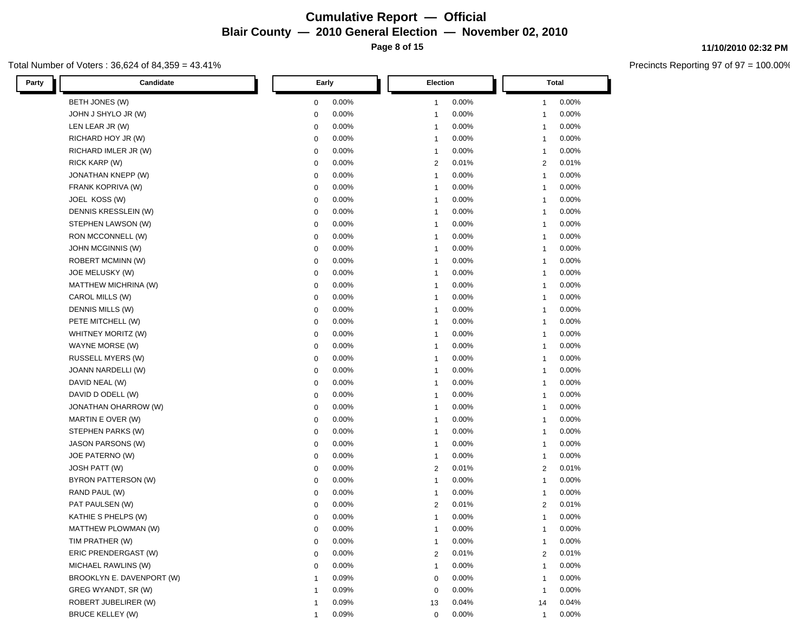### **Cumulative Report — Official Blair County — 2010 General Election — November 02, 2010 Page 8 of 15**

#### Total Number of Voters : 36,624 of 84,359 = 43.41%

| Candidate<br>Party        | Early          | Election                 | <b>Total</b>          |
|---------------------------|----------------|--------------------------|-----------------------|
| BETH JONES (W)            | 0.00%          | 0.00%                    | 0.00%                 |
|                           | $\mathbf 0$    | $\overline{1}$           | 1                     |
| JOHN J SHYLO JR (W)       | 0.00%          | 0.00%                    | 0.00%                 |
|                           | $\mathbf 0$    | -1                       | 1                     |
| LEN LEAR JR (W)           | 0.00%          | 0.00%                    | 0.00%                 |
|                           | $\mathbf 0$    | -1                       | 1                     |
| RICHARD HOY JR (W)        | 0.00%          | 0.00%                    | 0.00%                 |
|                           | $\mathbf 0$    | $\overline{1}$           | $\overline{1}$        |
| RICHARD IMLER JR (W)      | 0.00%          | 0.00%                    | 0.00%                 |
|                           | $\mathbf 0$    | $\overline{1}$           | $\mathbf{1}$          |
| RICK KARP (W)             | 0.00%          | 0.01%                    | 0.01%                 |
|                           | $\mathbf 0$    | $\overline{2}$           | $\overline{c}$        |
| JONATHAN KNEPP (W)        | 0.00%          | 0.00%                    | 0.00%                 |
|                           | $\mathbf 0$    | $\overline{1}$           | $\overline{1}$        |
| FRANK KOPRIVA (W)         | 0.00%          | 0.00%                    | 0.00%                 |
|                           | $\mathbf 0$    | $\overline{1}$           | $\overline{1}$        |
| JOEL KOSS (W)             | 0.00%          | 0.00%                    | 0.00%                 |
|                           | $\mathbf 0$    | $\overline{1}$           | $\overline{1}$        |
| DENNIS KRESSLEIN (W)      | 0.00%          | 0.00%                    | 0.00%                 |
|                           | $\mathbf 0$    | $\overline{1}$           | $\overline{1}$        |
| STEPHEN LAWSON (W)        | 0.00%          | 0.00%                    | 0.00%                 |
|                           | $\mathbf 0$    | $\overline{1}$           | $\overline{1}$        |
| RON MCCONNELL (W)         | 0.00%          | 0.00%                    | 0.00%                 |
|                           | $\mathbf 0$    | $\overline{1}$           | $\mathbf{1}$          |
| JOHN MCGINNIS (W)         | 0.00%          | 0.00%                    | 0.00%                 |
|                           | $\mathbf 0$    | $\overline{1}$           | $\overline{1}$        |
| ROBERT MCMINN (W)         | 0.00%          | 0.00%                    | 0.00%                 |
|                           | $\mathbf 0$    | $\overline{1}$           | $\overline{1}$        |
| JOE MELUSKY (W)           | 0.00%          | 0.00%                    | 0.00%                 |
|                           | $\mathbf 0$    | $\overline{1}$           | $\overline{1}$        |
| MATTHEW MICHRINA (W)      | 0.00%          | 0.00%                    | 0.00%                 |
|                           | $\mathbf 0$    | $\overline{1}$           | $\overline{1}$        |
| CAROL MILLS (W)           | 0.00%          | 0.00%                    | 0.00%                 |
|                           | $\mathbf 0$    | $\overline{1}$           | $\overline{1}$        |
| <b>DENNIS MILLS (W)</b>   | 0.00%          | 0.00%                    | 0.00%                 |
|                           | $\mathbf 0$    | $\overline{1}$           | $\overline{1}$        |
| PETE MITCHELL (W)         | 0.00%          | 0.00%                    | 0.00%                 |
|                           | $\mathbf 0$    | $\overline{1}$           | $\overline{1}$        |
| WHITNEY MORITZ (W)        | 0.00%          | 0.00%                    | 0.00%                 |
|                           | $\mathbf 0$    | $\overline{1}$           | $\overline{1}$        |
| WAYNE MORSE (W)           | 0.00%          | 0.00%                    | 0.00%                 |
|                           | $\mathbf 0$    | $\overline{1}$           | $\overline{1}$        |
| RUSSELL MYERS (W)         | 0.00%          | 0.00%                    | 0.00%                 |
|                           | $\mathbf 0$    | $\overline{1}$           | $\overline{1}$        |
| JOANN NARDELLI (W)        | 0.00%          | 0.00%                    | 0.00%                 |
|                           | $\mathbf 0$    | $\overline{1}$           | $\overline{1}$        |
| DAVID NEAL (W)            | 0.00%          | 0.00%                    | 0.00%                 |
|                           | $\mathbf 0$    | $\overline{1}$           | $\overline{1}$        |
| DAVID D ODELL (W)         | 0.00%          | 0.00%                    | 0.00%                 |
|                           | $\mathbf 0$    | $\overline{1}$           | $\overline{1}$        |
| JONATHAN OHARROW (W)      | 0.00%          | 0.00%                    | 0.00%                 |
|                           | $\mathbf 0$    | $\overline{1}$           | $\overline{1}$        |
| MARTIN E OVER (W)         | 0.00%          | 0.00%                    | 0.00%                 |
|                           | $\mathbf 0$    | $\overline{1}$           | $\overline{1}$        |
| STEPHEN PARKS (W)         | 0.00%          | 0.00%                    | 0.00%                 |
|                           | $\mathbf 0$    | $\overline{1}$           | $\overline{1}$        |
| <b>JASON PARSONS (W)</b>  | 0.00%          | 0.00%                    | 0.00%                 |
|                           | $\mathbf 0$    | $\overline{\phantom{a}}$ | $\overline{1}$        |
| JOE PATERNO (W)           | 0.00%          | 0.00%                    | 0.00%                 |
|                           | $\mathbf 0$    | $\overline{1}$           | $\overline{1}$        |
| JOSH PATT (W)             | 0.00%          | $\overline{2}$           | 0.01%                 |
|                           | $\mathbf 0$    | 0.01%                    | $\overline{c}$        |
| BYRON PATTERSON (W)       | 0.00%          | 0.00%                    | 0.00%                 |
|                           | $\mathbf 0$    | $\overline{1}$           | $\mathbf 1$           |
| RAND PAUL (W)             | 0.00%          | 0.00%                    | 0.00%                 |
|                           | $\mathbf 0$    | -1                       | $\mathbf 1$           |
| PAT PAULSEN (W)           | 0.00%          | 0.01%                    | 0.01%                 |
|                           | $\mathbf 0$    | $\overline{2}$           | $\overline{c}$        |
| KATHIE S PHELPS (W)       | 0.00%          | 0.00%                    | 0.00%                 |
|                           | $\mathbf 0$    | $\overline{1}$           | $\mathbf{1}$          |
| MATTHEW PLOWMAN (W)       | 0.00%          | 0.00%                    | 0.00%                 |
|                           | $\Omega$       | 1                        | 1                     |
| TIM PRATHER (W)           | 0.00%          | 0.00%                    | 0.00%                 |
|                           | $\mathbf 0$    | $\overline{1}$           | 1                     |
| ERIC PRENDERGAST (W)      | 0.00%          | 0.01%                    | 0.01%                 |
|                           | $\mathbf 0$    | $\overline{2}$           | 2                     |
| MICHAEL RAWLINS (W)       | 0.00%          | 0.00%                    | 0.00%                 |
|                           | $\mathbf 0$    | $\overline{1}$           | $\mathbf{1}$          |
| BROOKLYN E. DAVENPORT (W) | 0.09%          | 0.00%                    | 0.00%                 |
|                           | -1             | $\mathbf 0$              | $\mathbf{1}$          |
| GREG WYANDT, SR (W)       | 0.09%          | 0.00%                    | 0.00%                 |
|                           | $\overline{1}$ | $\mathbf 0$              | $\mathbf{1}$          |
| ROBERT JUBELIRER (W)      | 0.09%          | 0.04%                    | 0.04%                 |
|                           | $\mathbf 1$    | 13                       | 14                    |
| <b>BRUCE KELLEY (W)</b>   | 0.09%          | 0.00%<br>0               | 0.00%<br>$\mathbf{1}$ |

#### **11/10/2010 02:32 PM**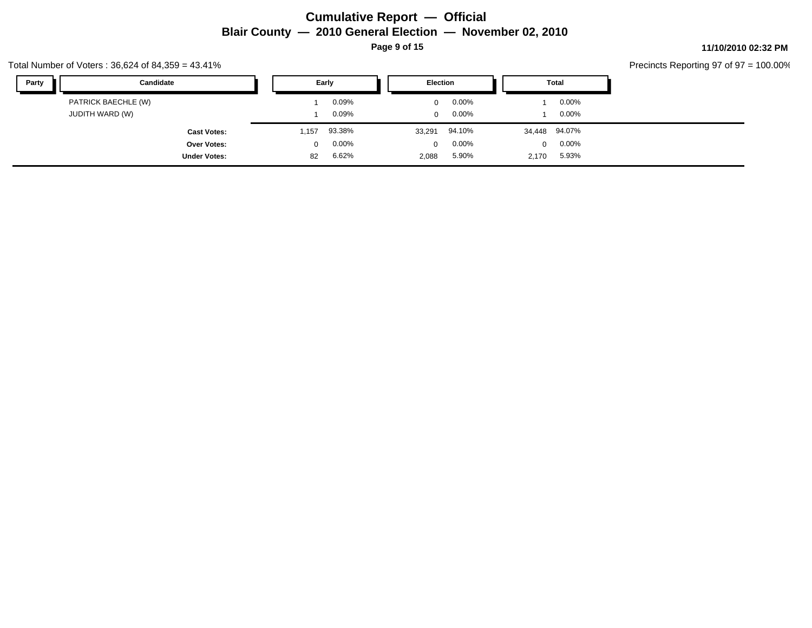### **Cumulative Report — Official Blair County — 2010 General Election — November 02, 2010 Page 9 of 15**

Total Number of Voters : 36,624 of 84,359 = 43.41%

| Party<br>Candidate  | Early    |          | Election |          | Total    |               |
|---------------------|----------|----------|----------|----------|----------|---------------|
| PATRICK BAECHLE (W) |          | 0.09%    | $\Omega$ | $0.00\%$ |          | $0.00\%$      |
| JUDITH WARD (W)     |          | 0.09%    | $\Omega$ | $0.00\%$ |          | $0.00\%$      |
| <b>Cast Votes:</b>  | ,157     | 93.38%   | 33,291   | 94.10%   |          | 34,448 94.07% |
| Over Votes:         | $\Omega$ | $0.00\%$ | $\Omega$ | $0.00\%$ | $\Omega$ | $0.00\%$      |
| <b>Under Votes:</b> | 82       | 6.62%    | 2,088    | 5.90%    | 2,170    | 5.93%         |

### **11/10/2010 02:32 PM**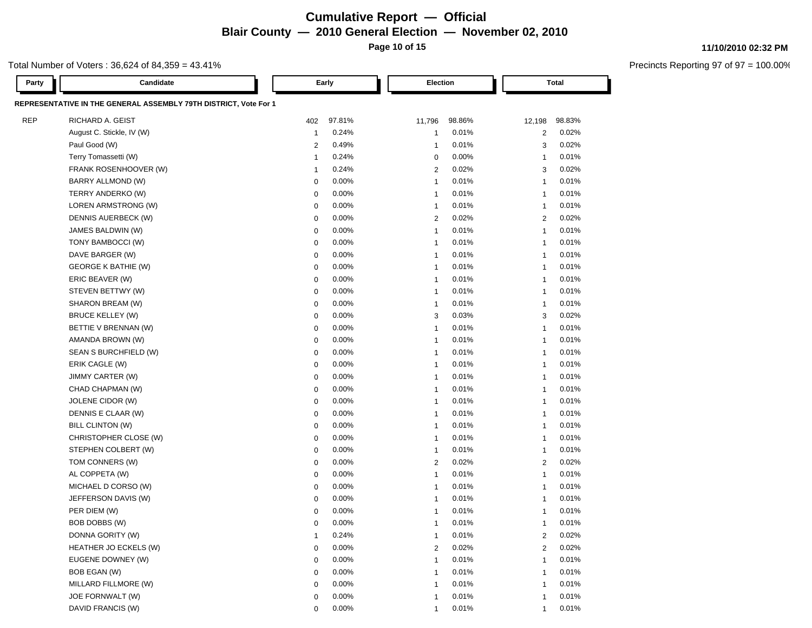# **Cumulative Report — Official Blair County — 2010 General Election — November 02, 2010**

**Page 10 of 15**

### Total Number of Voters : 36,624 of 84,359 = 43.41%

| Party      | Candidate                                                        |                         | Early  |                          | Election | <b>Total</b>   |        |
|------------|------------------------------------------------------------------|-------------------------|--------|--------------------------|----------|----------------|--------|
|            | REPRESENTATIVE IN THE GENERAL ASSEMBLY 79TH DISTRICT, Vote For 1 |                         |        |                          |          |                |        |
| <b>REP</b> | RICHARD A. GEIST                                                 | 402                     | 97.81% | 11,796                   | 98.86%   | 12,198         | 98.83% |
|            | August C. Stickle, IV (W)                                        | $\mathbf{1}$            | 0.24%  | -1                       | 0.01%    | 2              | 0.02%  |
|            | Paul Good (W)                                                    | $\overline{2}$          | 0.49%  | $\overline{1}$           | 0.01%    | 3              | 0.02%  |
|            | Terry Tomassetti (W)                                             | $\overline{\mathbf{1}}$ | 0.24%  | 0                        | 0.00%    | $\overline{1}$ | 0.01%  |
|            | FRANK ROSENHOOVER (W)                                            | $\overline{1}$          | 0.24%  | $\overline{2}$           | 0.02%    | 3              | 0.02%  |
|            | BARRY ALLMOND (W)                                                | $\mathbf 0$             | 0.00%  | $\overline{1}$           | 0.01%    | $\overline{1}$ | 0.01%  |
|            | TERRY ANDERKO (W)                                                | $\mathbf 0$             | 0.00%  | $\overline{1}$           | 0.01%    | $\mathbf{1}$   | 0.01%  |
|            | LOREN ARMSTRONG (W)                                              | $\mathbf 0$             | 0.00%  | $\overline{1}$           | 0.01%    | $\overline{1}$ | 0.01%  |
|            | DENNIS AUERBECK (W)                                              | $\mathbf 0$             | 0.00%  | $\overline{2}$           | 0.02%    | 2              | 0.02%  |
|            | JAMES BALDWIN (W)                                                | $\mathbf 0$             | 0.00%  | $\overline{1}$           | 0.01%    | $\overline{1}$ | 0.01%  |
|            | TONY BAMBOCCI (W)                                                | $\mathbf 0$             | 0.00%  | $\overline{1}$           | 0.01%    | $\overline{1}$ | 0.01%  |
|            | DAVE BARGER (W)                                                  | $\mathbf 0$             | 0.00%  | -1                       | 0.01%    | $\overline{1}$ | 0.01%  |
|            | <b>GEORGE K BATHIE (W)</b>                                       | $\mathbf 0$             | 0.00%  | -1                       | 0.01%    | -1             | 0.01%  |
|            | ERIC BEAVER (W)                                                  | $\mathbf 0$             | 0.00%  | $\overline{1}$           | 0.01%    | $\overline{1}$ | 0.01%  |
|            | STEVEN BETTWY (W)                                                | $\mathbf 0$             | 0.00%  | $\overline{1}$           | 0.01%    | $\overline{1}$ | 0.01%  |
|            | SHARON BREAM (W)                                                 | $\mathbf 0$             | 0.00%  | -1                       | 0.01%    | $\mathbf 1$    | 0.01%  |
|            | <b>BRUCE KELLEY (W)</b>                                          | $\mathbf 0$             | 0.00%  | 3                        | 0.03%    | 3              | 0.02%  |
|            | BETTIE V BRENNAN (W)                                             | $\mathbf 0$             | 0.00%  | -1                       | 0.01%    | $\overline{1}$ | 0.01%  |
|            | AMANDA BROWN (W)                                                 | $\mathbf 0$             | 0.00%  | -1                       | 0.01%    | $\overline{1}$ | 0.01%  |
|            | SEAN S BURCHFIELD (W)                                            | $\mathbf 0$             | 0.00%  | $\overline{1}$           | 0.01%    | $\mathbf{1}$   | 0.01%  |
|            | ERIK CAGLE (W)                                                   | $\mathbf 0$             | 0.00%  | $\overline{1}$           | 0.01%    | $\mathbf{1}$   | 0.01%  |
|            | JIMMY CARTER (W)                                                 | $\mathbf 0$             | 0.00%  | $\overline{1}$           | 0.01%    | $\mathbf{1}$   | 0.01%  |
|            | CHAD CHAPMAN (W)                                                 | $\mathbf 0$             | 0.00%  | $\overline{1}$           | 0.01%    | $\mathbf{1}$   | 0.01%  |
|            | JOLENE CIDOR (W)                                                 | $\mathbf 0$             | 0.00%  | $\overline{1}$           | 0.01%    | $\mathbf{1}$   | 0.01%  |
|            | DENNIS E CLAAR (W)                                               | $\mathbf 0$             | 0.00%  | $\overline{1}$           | 0.01%    | $\mathbf{1}$   | 0.01%  |
|            | BILL CLINTON (W)                                                 | $\mathbf 0$             | 0.00%  | $\overline{1}$           | 0.01%    | $\mathbf{1}$   | 0.01%  |
|            | CHRISTOPHER CLOSE (W)                                            | $\mathbf 0$             | 0.00%  | $\overline{1}$           | 0.01%    | $\mathbf{1}$   | 0.01%  |
|            | STEPHEN COLBERT (W)                                              | $\mathbf 0$             | 0.00%  | $\overline{1}$           | 0.01%    | $\mathbf{1}$   | 0.01%  |
|            | TOM CONNERS (W)                                                  | $\mathbf 0$             | 0.00%  | 2                        | 0.02%    | 2              | 0.02%  |
|            | AL COPPETA (W)                                                   | $\mathbf 0$             | 0.00%  | $\overline{1}$           | 0.01%    | $\mathbf{1}$   | 0.01%  |
|            | MICHAEL D CORSO (W)                                              | $\mathbf 0$             | 0.00%  | -1                       | 0.01%    | $\mathbf{1}$   | 0.01%  |
|            | JEFFERSON DAVIS (W)                                              | $\mathbf 0$             | 0.00%  | -1                       | 0.01%    | $\mathbf{1}$   | 0.01%  |
|            | PER DIEM (W)                                                     | $\mathbf 0$             | 0.00%  | -1                       | 0.01%    | 1              | 0.01%  |
|            | BOB DOBBS (W)                                                    | 0                       | 0.00%  | -1                       | 0.01%    | -1             | 0.01%  |
|            | DONNA GORITY (W)                                                 |                         | 0.24%  | -1                       | 0.01%    | $^{2}$         | 0.02%  |
|            | HEATHER JO ECKELS (W)                                            | $\mathbf 0$             | 0.00%  | $\overline{2}$           | 0.02%    | $\overline{c}$ | 0.02%  |
|            | EUGENE DOWNEY (W)                                                | $\mathbf 0$             | 0.00%  | $\overline{\mathbf{1}}$  | 0.01%    | $\overline{1}$ | 0.01%  |
|            | BOB EGAN (W)                                                     | 0                       | 0.00%  | $\overline{\phantom{a}}$ | 0.01%    | $\overline{1}$ | 0.01%  |
|            | MILLARD FILLMORE (W)                                             | 0                       | 0.00%  | $\overline{\phantom{a}}$ | 0.01%    | 1              | 0.01%  |
|            | JOE FORNWALT (W)                                                 | 0                       | 0.00%  | -1                       | 0.01%    | $\overline{1}$ | 0.01%  |
|            | DAVID FRANCIS (W)                                                | 0                       | 0.00%  | $\overline{1}$           | 0.01%    | $\mathbf{1}$   | 0.01%  |

#### **11/10/2010 02:32 PM**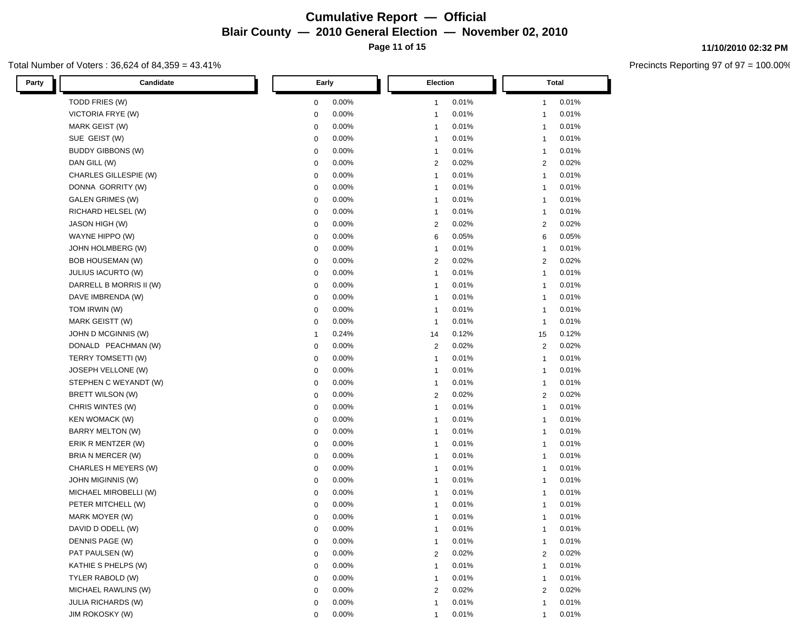### **Cumulative Report — Official Blair County — 2010 General Election — November 02, 2010 Page 11 of 15**

Total Number of Voters : 36,624 of 84,359 = 43.41%

| Candidate<br>Party       | Early          | Election                 | Total          |
|--------------------------|----------------|--------------------------|----------------|
| TODD FRIES (W)           | 0.00%          | 0.01%                    | 0.01%          |
|                          | 0              | $\overline{1}$           | 1              |
| VICTORIA FRYE (W)        | 0.00%          | 0.01%                    | 0.01%          |
|                          | 0              | -1                       | 1              |
| MARK GEIST (W)           | 0.00%          | 0.01%                    | 0.01%          |
|                          | 0              | -1                       | $\overline{1}$ |
| SUE GEIST (W)            | 0.00%          | 0.01%                    | 0.01%          |
|                          | 0              | -1                       | $\overline{1}$ |
| <b>BUDDY GIBBONS (W)</b> | 0.00%          | 0.01%                    | 0.01%          |
|                          | $\mathbf 0$    | $\overline{1}$           | $\overline{1}$ |
| DAN GILL (W)             | 0.00%          | 0.02%                    | 0.02%          |
|                          | $\mathbf 0$    | $\overline{2}$           | $\overline{c}$ |
| CHARLES GILLESPIE (W)    | 0.00%          | 0.01%                    | 0.01%          |
|                          | $\mathbf 0$    | $\overline{1}$           | $\overline{1}$ |
| DONNA GORRITY (W)        | 0.00%          | 0.01%                    | 0.01%          |
|                          | $\mathbf 0$    | $\overline{1}$           | $\mathbf{1}$   |
| <b>GALEN GRIMES (W)</b>  | 0.00%          | 0.01%                    | 0.01%          |
|                          | $\mathbf 0$    | $\overline{1}$           | $\mathbf{1}$   |
| RICHARD HELSEL (W)       | 0.00%          | 0.01%                    | 0.01%          |
|                          | $\mathbf 0$    | $\overline{1}$           | $\overline{1}$ |
| JASON HIGH (W)           | 0.00%          | 0.02%                    | 0.02%          |
|                          | $\mathbf 0$    | $\overline{2}$           | 2              |
| WAYNE HIPPO (W)          | 0.00%          | 0.05%                    | 0.05%          |
|                          | $\mathbf 0$    | 6                        | 6              |
| JOHN HOLMBERG (W)        | 0.00%          | $\overline{1}$           | 0.01%          |
|                          | $\mathbf 0$    | 0.01%                    | $\mathbf{1}$   |
| BOB HOUSEMAN (W)         | 0.00%          | 0.02%                    | 0.02%          |
|                          | $\mathbf 0$    | $\overline{c}$           | 2              |
| JULIUS IACURTO (W)       | 0.00%          | 0.01%                    | 0.01%          |
|                          | $\mathbf 0$    | $\overline{1}$           | $\mathbf{1}$   |
| DARRELL B MORRIS II (W)  | 0.00%          | 0.01%                    | 0.01%          |
|                          | $\mathbf 0$    | $\overline{1}$           | $\mathbf{1}$   |
| DAVE IMBRENDA (W)        | 0.00%          | 0.01%                    | 0.01%          |
|                          | $\mathbf 0$    | $\overline{1}$           | $\mathbf{1}$   |
| TOM IRWIN (W)            | 0.00%          | 0.01%                    | 0.01%          |
|                          | $\mathbf 0$    | $\overline{1}$           | $\mathbf{1}$   |
| MARK GEISTT (W)          | 0.00%          | 0.01%                    | 0.01%          |
|                          | $\mathbf 0$    | $\overline{1}$           | $\overline{1}$ |
| JOHN D MCGINNIS (W)      | 0.24%          | 0.12%                    | 0.12%          |
|                          | $\overline{1}$ | 14                       | 15             |
| DONALD PEACHMAN (W)      | 0.00%          | 0.02%                    | 0.02%          |
|                          | $\mathbf 0$    | $\overline{2}$           | $\overline{2}$ |
| TERRY TOMSETTI (W)       | 0.00%          | 0.01%                    | 0.01%          |
|                          | $\mathbf 0$    | $\overline{1}$           | $\overline{1}$ |
| JOSEPH VELLONE (W)       | 0.00%          | 0.01%                    | 0.01%          |
|                          | $\mathbf 0$    | $\overline{1}$           | $\overline{1}$ |
| STEPHEN C WEYANDT (W)    | 0.00%          | 0.01%                    | 0.01%          |
|                          | $\mathbf 0$    | $\overline{1}$           | $\mathbf{1}$   |
| BRETT WILSON (W)         | 0.00%          | 0.02%                    | 0.02%          |
|                          | $\mathbf 0$    | 2                        | 2              |
| CHRIS WINTES (W)         | 0.00%          | 0.01%                    | 0.01%          |
|                          | $\mathbf 0$    | $\overline{1}$           | $\overline{1}$ |
| KEN WOMACK (W)           | 0.00%          | 0.01%                    | 0.01%          |
|                          | $\mathbf 0$    | $\overline{1}$           | $\overline{1}$ |
| BARRY MELTON (W)         | 0.00%          | 0.01%                    | 0.01%          |
|                          | $\mathbf 0$    | $\overline{1}$           | $\mathbf{1}$   |
| ERIK R MENTZER (W)       | 0.00%          | 0.01%                    | 0.01%          |
|                          | $\mathbf 0$    | $\overline{1}$           | $\overline{1}$ |
| BRIA N MERCER (W)        | 0.00%          | 0.01%                    | 0.01%          |
|                          | $\mathbf 0$    | $\overline{1}$           | $\overline{1}$ |
| CHARLES H MEYERS (W)     | 0.00%          | 0.01%                    | 0.01%          |
|                          | $\mathbf 0$    | $\overline{1}$           | $\overline{1}$ |
| <b>JOHN MIGINNIS (W)</b> | 0.00%          | 0.01%                    | 0.01%          |
|                          | $\mathbf 0$    | $\overline{1}$           | $\overline{1}$ |
| MICHAEL MIROBELLI (W)    | 0.00%          | 0.01%                    | 0.01%          |
|                          | $\mathbf 0$    | $\overline{1}$           | $\overline{1}$ |
| PETER MITCHELL (W)       | 0.00%          | 0.01%                    | 0.01%          |
|                          | $\mathbf 0$    | $\overline{\phantom{a}}$ | $\overline{1}$ |
| MARK MOYER (W)           | 0.00%          | 0.01%                    | 0.01%          |
|                          | 0              | -1                       | $\overline{1}$ |
| DAVID D ODELL (W)        | 0.00%          | 0.01%                    | 0.01%          |
|                          | $\Omega$       | 1                        | 1              |
| DENNIS PAGE (W)          | 0.00%          | 0.01%                    | 0.01%          |
|                          | $\mathbf 0$    | $\overline{1}$           | $\mathbf{1}$   |
| PAT PAULSEN (W)          | 0.00%          | 0.02%                    | 0.02%          |
|                          | $\mathbf 0$    | 2                        | $\overline{c}$ |
| KATHIE S PHELPS (W)      | 0.00%          | 0.01%                    | 0.01%          |
|                          | $\mathbf 0$    | -1                       | $\mathbf{1}$   |
| TYLER RABOLD (W)         | 0.00%          | 0.01%                    | 0.01%          |
|                          | $\mathbf 0$    | -1                       | $\overline{1}$ |
| MICHAEL RAWLINS (W)      | 0.00%          | 0.02%                    | 0.02%          |
|                          | $\mathbf 0$    | $\overline{2}$           | $\overline{c}$ |
| JULIA RICHARDS (W)       | 0.00%          | 0.01%                    | 0.01%          |
|                          | 0              | $\overline{1}$           | 1              |
| <b>JIM ROKOSKY (W)</b>   | 0.00%          | 0.01%                    | 0.01%          |
|                          | 0              | 1                        | 1              |

**11/10/2010 02:32 PM**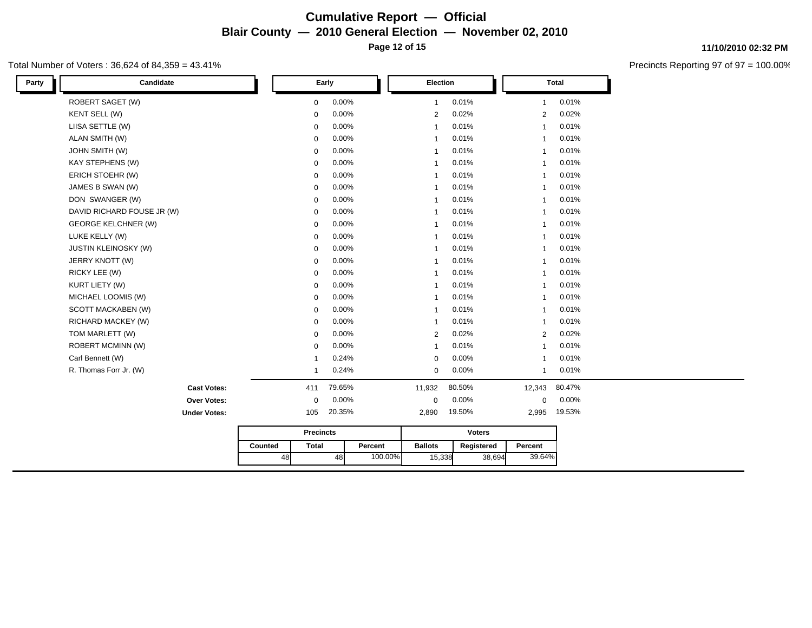### **Cumulative Report — Official Blair County — 2010 General Election — November 02, 2010 Page 12 of 15**

### Total Number of Voters : 36,624 of 84,359 = 43.41%

| Candidate<br>Party          |                         | Early    |         | Election       |               |                | <b>Total</b> |
|-----------------------------|-------------------------|----------|---------|----------------|---------------|----------------|--------------|
| <b>ROBERT SAGET (W)</b>     | $\mathbf{0}$            | 0.00%    |         | $\mathbf{1}$   | 0.01%         | $\mathbf{1}$   | 0.01%        |
| KENT SELL (W)               | $\mathbf 0$             | 0.00%    |         | 2              | 0.02%         | $\overline{2}$ | 0.02%        |
| LIISA SETTLE (W)            | $\mathbf 0$             | 0.00%    |         | $\mathbf{1}$   | 0.01%         | $\mathbf{1}$   | 0.01%        |
| ALAN SMITH (W)              | $\mathbf 0$             | 0.00%    |         | $\mathbf{1}$   | 0.01%         | $\mathbf{1}$   | 0.01%        |
| <b>JOHN SMITH (W)</b>       | $\mathbf 0$             | 0.00%    |         | $\mathbf{1}$   | 0.01%         | $\mathbf{1}$   | 0.01%        |
| <b>KAY STEPHENS (W)</b>     | $\mathbf 0$             | 0.00%    |         | 1              | 0.01%         | $\mathbf{1}$   | 0.01%        |
| ERICH STOEHR (W)            | $\mathbf 0$             | 0.00%    |         | $\mathbf{1}$   | 0.01%         | $\mathbf{1}$   | 0.01%        |
| JAMES B SWAN (W)            | $\mathbf 0$             | 0.00%    |         | $\mathbf{1}$   | 0.01%         | $\mathbf{1}$   | 0.01%        |
| DON SWANGER (W)             | $\mathbf 0$             | 0.00%    |         | $\mathbf{1}$   | 0.01%         | $\mathbf{1}$   | 0.01%        |
| DAVID RICHARD FOUSE JR (W)  | $\mathbf 0$             | 0.00%    |         | $\mathbf{1}$   | 0.01%         | $\mathbf{1}$   | 0.01%        |
| <b>GEORGE KELCHNER (W)</b>  | $\mathbf 0$             | 0.00%    |         | $\mathbf{1}$   | 0.01%         | $\mathbf{1}$   | 0.01%        |
| LUKE KELLY (W)              | $\mathbf 0$             | 0.00%    |         | $\mathbf{1}$   | 0.01%         | $\mathbf{1}$   | 0.01%        |
| <b>JUSTIN KLEINOSKY (W)</b> | $\mathbf 0$             | 0.00%    |         | $\mathbf{1}$   | 0.01%         | $\mathbf{1}$   | 0.01%        |
| JERRY KNOTT (W)             | $\mathbf 0$             | $0.00\%$ |         | $\mathbf{1}$   | 0.01%         | $\mathbf{1}$   | 0.01%        |
| RICKY LEE (W)               | $\mathbf 0$             | 0.00%    |         | $\mathbf{1}$   | 0.01%         | $\mathbf{1}$   | 0.01%        |
| KURT LIETY (W)              | $\mathbf 0$             | 0.00%    |         | $\mathbf{1}$   | 0.01%         | $\mathbf{1}$   | 0.01%        |
| MICHAEL LOOMIS (W)          | $\mathbf 0$             | 0.00%    |         | 1              | 0.01%         | $\mathbf{1}$   | 0.01%        |
| <b>SCOTT MACKABEN (W)</b>   | $\mathbf 0$             | 0.00%    |         | $\mathbf{1}$   | 0.01%         | $\mathbf{1}$   | 0.01%        |
| RICHARD MACKEY (W)          | $\mathbf 0$             | $0.00\%$ |         | $\mathbf{1}$   | 0.01%         | $\mathbf{1}$   | 0.01%        |
| TOM MARLETT (W)             | $\mathbf 0$             | 0.00%    |         | 2              | 0.02%         | 2              | 0.02%        |
| <b>ROBERT MCMINN (W)</b>    | $\mathbf 0$             | 0.00%    |         | $\mathbf{1}$   | 0.01%         | $\mathbf{1}$   | 0.01%        |
| Carl Bennett (W)            | -1                      | 0.24%    |         | $\mathbf 0$    | 0.00%         | $\mathbf{1}$   | 0.01%        |
| R. Thomas Forr Jr. (W)      | 1                       | 0.24%    |         | $\mathbf 0$    | 0.00%         | $\mathbf{1}$   | 0.01%        |
| <b>Cast Votes:</b>          | 411                     | 79.65%   |         | 11,932         | 80.50%        | 12,343         | 80.47%       |
| Over Votes:                 | $\mathbf 0$             | 0.00%    |         | 0              | 0.00%         | $\mathbf 0$    | 0.00%        |
| <b>Under Votes:</b>         | 105                     | 20.35%   |         | 2,890          | 19.50%        | 2,995          | 19.53%       |
|                             | <b>Precincts</b>        |          |         |                | <b>Voters</b> |                |              |
|                             | <b>Total</b><br>Counted |          | Percent | <b>Ballots</b> | Registered    | Percent        |              |
|                             | 48                      | 48       | 100.00% | 15,338         | 38,694        | 39.64%         |              |
|                             |                         |          |         |                |               |                |              |

#### **11/10/2010 02:32 PM**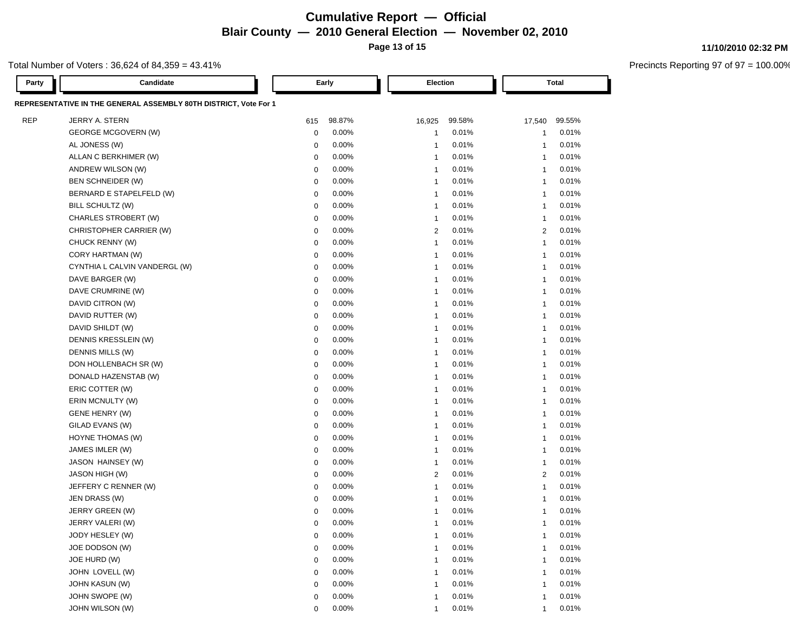# **Cumulative Report — Official Blair County — 2010 General Election — November 02, 2010**

**Page 13 of 15**

### Total Number of Voters : 36,624 of 84,359 = 43.41%

| Party      | Candidate                                                        |             | Early    | Election       |        |                | Total  |
|------------|------------------------------------------------------------------|-------------|----------|----------------|--------|----------------|--------|
|            | REPRESENTATIVE IN THE GENERAL ASSEMBLY 80TH DISTRICT, Vote For 1 |             |          |                |        |                |        |
| <b>REP</b> | JERRY A. STERN                                                   | 615         | 98.87%   | 16,925         | 99.58% | 17,540         | 99.55% |
|            | <b>GEORGE MCGOVERN (W)</b>                                       | 0           | 0.00%    | 1              | 0.01%  | -1             | 0.01%  |
|            | AL JONESS (W)                                                    | $\mathbf 0$ | 0.00%    | $\mathbf{1}$   | 0.01%  | $\overline{1}$ | 0.01%  |
|            | ALLAN C BERKHIMER (W)                                            | 0           | 0.00%    | $\mathbf{1}$   | 0.01%  | -1             | 0.01%  |
|            | ANDREW WILSON (W)                                                | 0           | 0.00%    | $\mathbf{1}$   | 0.01%  | $\overline{1}$ | 0.01%  |
|            | BEN SCHNEIDER (W)                                                | $\mathbf 0$ | 0.00%    | $\mathbf{1}$   | 0.01%  | $\overline{1}$ | 0.01%  |
|            | BERNARD E STAPELFELD (W)                                         | $\mathbf 0$ | 0.00%    | $\mathbf{1}$   | 0.01%  | $\overline{1}$ | 0.01%  |
|            | BILL SCHULTZ (W)                                                 | 0           | 0.00%    | $\mathbf{1}$   | 0.01%  | $\overline{1}$ | 0.01%  |
|            | CHARLES STROBERT (W)                                             | 0           | 0.00%    | $\mathbf{1}$   | 0.01%  | $\overline{1}$ | 0.01%  |
|            | CHRISTOPHER CARRIER (W)                                          | 0           | $0.00\%$ | $\overline{2}$ | 0.01%  | 2              | 0.01%  |
|            | CHUCK RENNY (W)                                                  | 0           | 0.00%    | $\mathbf{1}$   | 0.01%  | $\overline{1}$ | 0.01%  |
|            | CORY HARTMAN (W)                                                 | 0           | 0.00%    | $\mathbf 1$    | 0.01%  | -1             | 0.01%  |
|            | CYNTHIA L CALVIN VANDERGL (W)                                    | 0           | $0.00\%$ | $\mathbf 1$    | 0.01%  | -1             | 0.01%  |
|            | DAVE BARGER (W)                                                  | 0           | 0.00%    | $\mathbf 1$    | 0.01%  | -1             | 0.01%  |
|            | DAVE CRUMRINE (W)                                                | 0           | 0.00%    | $\mathbf{1}$   | 0.01%  | $\overline{1}$ | 0.01%  |
|            | DAVID CITRON (W)                                                 | 0           | 0.00%    | $\mathbf 1$    | 0.01%  | -1             | 0.01%  |
|            | DAVID RUTTER (W)                                                 | 0           | 0.00%    | -1             | 0.01%  | -1             | 0.01%  |
|            | DAVID SHILDT (W)                                                 | 0           | 0.00%    | -1             | 0.01%  | -1             | 0.01%  |
|            | DENNIS KRESSLEIN (W)                                             | 0           | 0.00%    | -1             | 0.01%  | -1             | 0.01%  |
|            | DENNIS MILLS (W)                                                 | $\mathbf 0$ | 0.00%    | -1             | 0.01%  | -1             | 0.01%  |
|            | DON HOLLENBACH SR (W)                                            | 0           | 0.00%    | -1             | 0.01%  | -1             | 0.01%  |
|            | DONALD HAZENSTAB (W)                                             | $\mathbf 0$ | 0.00%    | -1             | 0.01%  | $\overline{1}$ | 0.01%  |
|            | ERIC COTTER (W)                                                  | 0           | 0.00%    | $\mathbf{1}$   | 0.01%  | $\mathbf 1$    | 0.01%  |
|            | ERIN MCNULTY (W)                                                 | 0           | 0.00%    | $\mathbf{1}$   | 0.01%  | $\mathbf 1$    | 0.01%  |
|            | GENE HENRY (W)                                                   | 0           | 0.00%    | $\mathbf{1}$   | 0.01%  | $\overline{1}$ | 0.01%  |
|            | GILAD EVANS (W)                                                  | 0           | 0.00%    | $\mathbf{1}$   | 0.01%  | $\overline{1}$ | 0.01%  |
|            | HOYNE THOMAS (W)                                                 | 0           | 0.00%    | -1             | 0.01%  | -1             | 0.01%  |
|            | JAMES IMLER (W)                                                  | 0           | 0.00%    | -1             | 0.01%  | -1             | 0.01%  |
|            | JASON HAINSEY (W)                                                | 0           | 0.00%    | $\mathbf{1}$   | 0.01%  | $\mathbf 1$    | 0.01%  |
|            | JASON HIGH (W)                                                   | 0           | 0.00%    | 2              | 0.01%  | 2              | 0.01%  |
|            | JEFFERY C RENNER (W)                                             | 0           | 0.00%    | $\mathbf{1}$   | 0.01%  | -1             | 0.01%  |
|            | JEN DRASS (W)                                                    | 0           | 0.00%    | -1             | 0.01%  | -1             | 0.01%  |
|            | JERRY GREEN (W)                                                  | 0           | 0.00%    | -1             | 0.01%  | 1              | 0.01%  |
|            | JERRY VALERI (W)                                                 | 0           | 0.00%    | 1              | 0.01%  | -1             | 0.01%  |
|            | JODY HESLEY (W)                                                  | 0           | 0.00%    |                | 0.01%  | 1              | 0.01%  |
|            | JOE DODSON (W)                                                   | $\mathbf 0$ | 0.00%    | 1              | 0.01%  | 1              | 0.01%  |
|            | JOE HURD (W)                                                     | $\mathbf 0$ | 0.00%    | 1              | 0.01%  | $\overline{1}$ | 0.01%  |
|            | JOHN LOVELL (W)                                                  | 0           | 0.00%    | 1              | 0.01%  | $\overline{1}$ | 0.01%  |
|            | <b>JOHN KASUN (W)</b>                                            | 0           | 0.00%    | 1              | 0.01%  | 1              | 0.01%  |
|            | JOHN SWOPE (W)                                                   | 0           | 0.00%    | 1              | 0.01%  | $\overline{1}$ | 0.01%  |
|            | JOHN WILSON (W)                                                  | 0           | 0.00%    | 1              | 0.01%  | $\overline{1}$ | 0.01%  |

#### **11/10/2010 02:32 PM**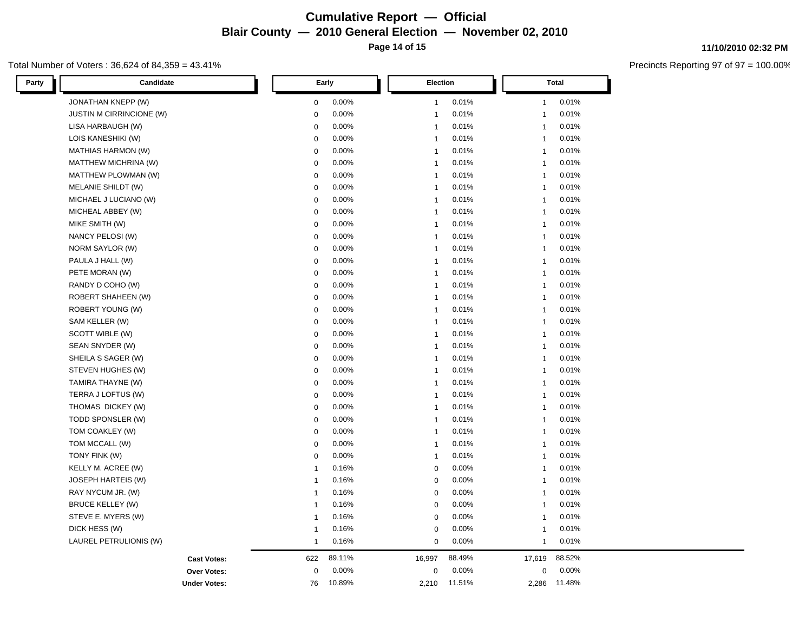### **Cumulative Report — Official Blair County — 2010 General Election — November 02, 2010 Page 14 of 15**

#### Total Number of Voters : 36,624 of 84,359 = 43.41%

| Party<br>Candidate        | Early        |        | Election     |        |              | <b>Total</b> |
|---------------------------|--------------|--------|--------------|--------|--------------|--------------|
| JONATHAN KNEPP (W)        | $\mathbf 0$  | 0.00%  | $\mathbf{1}$ | 0.01%  | $\mathbf{1}$ | 0.01%        |
| JUSTIN M CIRRINCIONE (W)  | $\mathbf 0$  | 0.00%  | $\mathbf{1}$ | 0.01%  | $\mathbf{1}$ | 0.01%        |
| LISA HARBAUGH (W)         | $\mathbf 0$  | 0.00%  | $\mathbf{1}$ | 0.01%  | $\mathbf{1}$ | 0.01%        |
| LOIS KANESHIKI (W)        | $\mathbf 0$  | 0.00%  | $\mathbf{1}$ | 0.01%  | $\mathbf{1}$ | 0.01%        |
| <b>MATHIAS HARMON (W)</b> | $\mathbf 0$  | 0.00%  | $\mathbf{1}$ | 0.01%  | $\mathbf{1}$ | 0.01%        |
| MATTHEW MICHRINA (W)      | $\mathbf 0$  | 0.00%  | $\mathbf{1}$ | 0.01%  | $\mathbf{1}$ | 0.01%        |
| MATTHEW PLOWMAN (W)       | $\mathsf 0$  | 0.00%  | $\mathbf{1}$ | 0.01%  | $\mathbf{1}$ | 0.01%        |
| MELANIE SHILDT (W)        | $\mathbf 0$  | 0.00%  | $\mathbf{1}$ | 0.01%  | $\mathbf{1}$ | 0.01%        |
| MICHAEL J LUCIANO (W)     | $\mathbf 0$  | 0.00%  | $\mathbf{1}$ | 0.01%  | $\mathbf{1}$ | 0.01%        |
| MICHEAL ABBEY (W)         | $\mathsf 0$  | 0.00%  | $\mathbf{1}$ | 0.01%  | $\mathbf{1}$ | 0.01%        |
| MIKE SMITH (W)            | $\mathbf 0$  | 0.00%  | $\mathbf{1}$ | 0.01%  | $\mathbf{1}$ | 0.01%        |
| NANCY PELOSI (W)          | $\mathsf 0$  | 0.00%  | $\mathbf{1}$ | 0.01%  | $\mathbf{1}$ | 0.01%        |
| NORM SAYLOR (W)           | $\mathbf 0$  | 0.00%  | $\mathbf{1}$ | 0.01%  | $\mathbf{1}$ | 0.01%        |
| PAULA J HALL (W)          | $\mathbf 0$  | 0.00%  | $\mathbf{1}$ | 0.01%  | $\mathbf{1}$ | 0.01%        |
| PETE MORAN (W)            | $\mathbf 0$  | 0.00%  | $\mathbf{1}$ | 0.01%  | $\mathbf{1}$ | 0.01%        |
| RANDY D COHO (W)          | $\mathbf 0$  | 0.00%  | $\mathbf{1}$ | 0.01%  | $\mathbf{1}$ | 0.01%        |
| ROBERT SHAHEEN (W)        | $\mathbf 0$  | 0.00%  | $\mathbf{1}$ | 0.01%  | $\mathbf{1}$ | 0.01%        |
| ROBERT YOUNG (W)          | $\mathbf 0$  | 0.00%  | $\mathbf{1}$ | 0.01%  | $\mathbf{1}$ | 0.01%        |
| SAM KELLER (W)            | $\mathbf 0$  | 0.00%  | $\mathbf{1}$ | 0.01%  | $\mathbf{1}$ | 0.01%        |
| SCOTT WIBLE (W)           | $\mathsf 0$  | 0.00%  | $\mathbf{1}$ | 0.01%  | $\mathbf{1}$ | 0.01%        |
| SEAN SNYDER (W)           | $\mathbf 0$  | 0.00%  | $\mathbf{1}$ | 0.01%  | $\mathbf{1}$ | 0.01%        |
| SHEILA S SAGER (W)        | $\mathbf 0$  | 0.00%  | $\mathbf{1}$ | 0.01%  | $\mathbf{1}$ | 0.01%        |
| STEVEN HUGHES (W)         | $\mathsf 0$  | 0.00%  | $\mathbf{1}$ | 0.01%  | $\mathbf{1}$ | 0.01%        |
| TAMIRA THAYNE (W)         | $\mathbf 0$  | 0.00%  | $\mathbf{1}$ | 0.01%  | $\mathbf{1}$ | 0.01%        |
| TERRA J LOFTUS (W)        | $\mathbf 0$  | 0.00%  | $\mathbf{1}$ | 0.01%  | $\mathbf{1}$ | 0.01%        |
| THOMAS DICKEY (W)         | $\mathbf 0$  | 0.00%  | $\mathbf{1}$ | 0.01%  | $\mathbf{1}$ | 0.01%        |
| TODD SPONSLER (W)         | $\mathbf 0$  | 0.00%  | $\mathbf{1}$ | 0.01%  | $\mathbf{1}$ | 0.01%        |
| TOM COAKLEY (W)           | $\mathsf 0$  | 0.00%  | $\mathbf{1}$ | 0.01%  | $\mathbf{1}$ | 0.01%        |
| TOM MCCALL (W)            | $\mathsf 0$  | 0.00%  | $\mathbf{1}$ | 0.01%  | $\mathbf{1}$ | 0.01%        |
| TONY FINK (W)             | $\mathbf 0$  | 0.00%  | $\mathbf{1}$ | 0.01%  | $\mathbf{1}$ | 0.01%        |
| KELLY M. ACREE (W)        | $\mathbf 1$  | 0.16%  | $\mathbf 0$  | 0.00%  | $\mathbf{1}$ | 0.01%        |
| <b>JOSEPH HARTEIS (W)</b> | $\mathbf{1}$ | 0.16%  | $\mathbf 0$  | 0.00%  | $\mathbf{1}$ | 0.01%        |
| RAY NYCUM JR. (W)         | $\mathbf{1}$ | 0.16%  | $\mathbf 0$  | 0.00%  | $\mathbf{1}$ | 0.01%        |
| <b>BRUCE KELLEY (W)</b>   | $\mathbf{1}$ | 0.16%  | $\mathbf 0$  | 0.00%  | $\mathbf{1}$ | 0.01%        |
| STEVE E. MYERS (W)        | $\mathbf{1}$ | 0.16%  | $\mathbf 0$  | 0.00%  | $\mathbf{1}$ | 0.01%        |
| DICK HESS (W)             | $\mathbf 1$  | 0.16%  | 0            | 0.00%  | $\mathbf{1}$ | 0.01%        |
| LAUREL PETRULIONIS (W)    | $\mathbf{1}$ | 0.16%  | $\mathbf 0$  | 0.00%  | $\mathbf{1}$ | 0.01%        |
| <b>Cast Votes:</b>        | 622          | 89.11% | 16,997       | 88.49% | 17,619       | 88.52%       |
| <b>Over Votes:</b>        | $\mathbf 0$  | 0.00%  | $\pmb{0}$    | 0.00%  | $\pmb{0}$    | 0.00%        |
| <b>Under Votes:</b>       | 76           | 10.89% | 2,210        | 11.51% | 2,286        | 11.48%       |

#### **11/10/2010 02:32 PM**